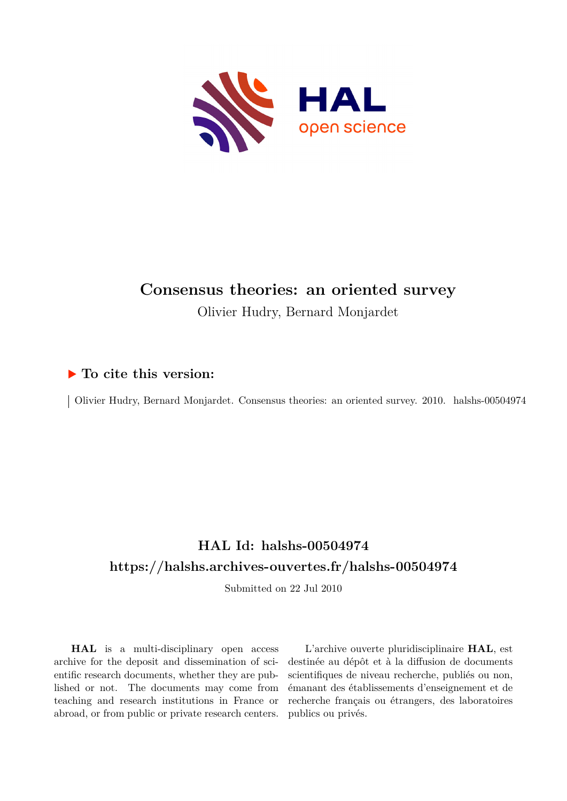

# **Consensus theories: an oriented survey** Olivier Hudry, Bernard Monjardet

# **To cite this version:**

Olivier Hudry, Bernard Monjardet. Consensus theories: an oriented survey. 2010. halshs-00504974

# **HAL Id: halshs-00504974 <https://halshs.archives-ouvertes.fr/halshs-00504974>**

Submitted on 22 Jul 2010

**HAL** is a multi-disciplinary open access archive for the deposit and dissemination of scientific research documents, whether they are published or not. The documents may come from teaching and research institutions in France or abroad, or from public or private research centers.

L'archive ouverte pluridisciplinaire **HAL**, est destinée au dépôt et à la diffusion de documents scientifiques de niveau recherche, publiés ou non, émanant des établissements d'enseignement et de recherche français ou étrangers, des laboratoires publics ou privés.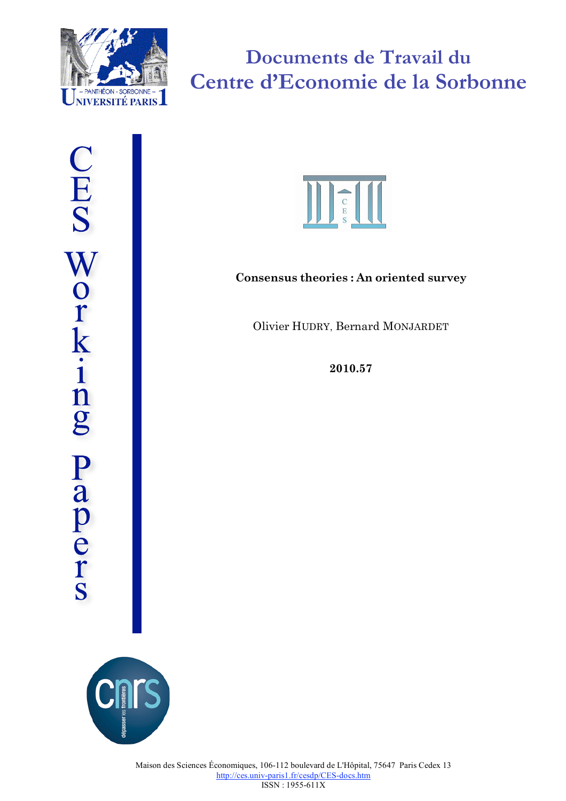

**Documents de Travail du Centre d'Economie de la Sorbonne**



# **Consensus theories : An oriented survey**

Olivier HUDRY, Bernard MONJARDET

**2010.57**

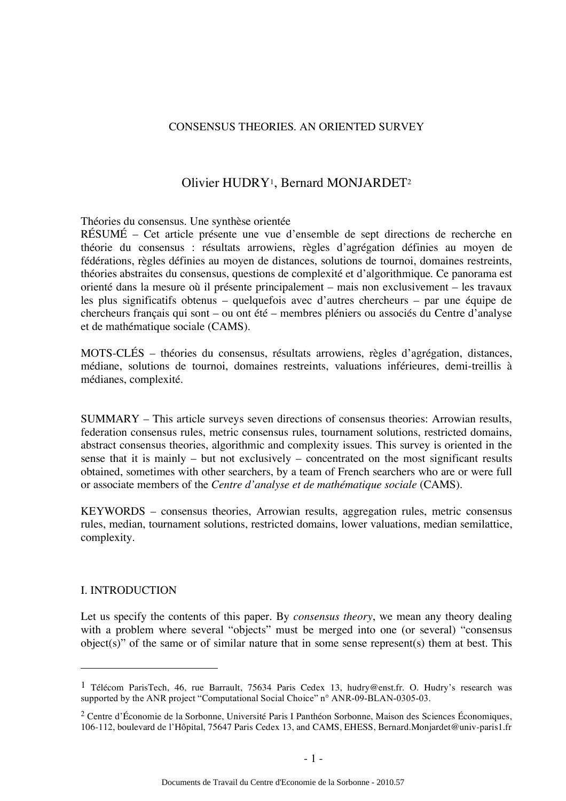### CONSENSUS THEORIES. AN ORIENTED SURVEY

# Olivier HUDRY1, Bernard MONJARDET2

#### Théories du consensus. Une synthèse orientée

RÉSUMÉ – Cet article présente une vue d'ensemble de sept directions de recherche en théorie du consensus : résultats arrowiens, règles d'agrégation définies au moyen de fédérations, règles définies au moyen de distances, solutions de tournoi, domaines restreints, théories abstraites du consensus, questions de complexité et d'algorithmique. Ce panorama est orienté dans la mesure où il présente principalement – mais non exclusivement – les travaux les plus significatifs obtenus – quelquefois avec d'autres chercheurs – par une équipe de chercheurs français qui sont – ou ont été – membres pléniers ou associés du Centre d'analyse et de mathématique sociale (CAMS).

MOTS-CLÉS – théories du consensus, résultats arrowiens, règles d'agrégation, distances, médiane, solutions de tournoi, domaines restreints, valuations inférieures, demi-treillis à médianes, complexité.

SUMMARY – This article surveys seven directions of consensus theories: Arrowian results, federation consensus rules, metric consensus rules, tournament solutions, restricted domains, abstract consensus theories, algorithmic and complexity issues. This survey is oriented in the sense that it is mainly – but not exclusively – concentrated on the most significant results obtained, sometimes with other searchers, by a team of French searchers who are or were full or associate members of the *Centre d'analyse et de mathématique sociale* (CAMS).

KEYWORDS – consensus theories, Arrowian results, aggregation rules, metric consensus rules, median, tournament solutions, restricted domains, lower valuations, median semilattice, complexity.

## I. INTRODUCTION

 $\overline{a}$ 

Let us specify the contents of this paper. By *consensus theory*, we mean any theory dealing with a problem where several "objects" must be merged into one (or several) "consensus object(s)" of the same or of similar nature that in some sense represent(s) them at best. This

<sup>&</sup>lt;sup>1</sup> Télécom ParisTech, 46, rue Barrault, 75634 Paris Cedex 13, hudry@enst.fr. O. Hudry's research was supported by the ANR project "Computational Social Choice" n° ANR-09-BLAN-0305-03.

<sup>2</sup> Centre d'Économie de la Sorbonne, Université Paris I Panthéon Sorbonne, Maison des Sciences Économiques, 106-112, boulevard de l'Hôpital, 75647 Paris Cedex 13, and CAMS, EHESS, Bernard.Monjardet@univ-paris1.fr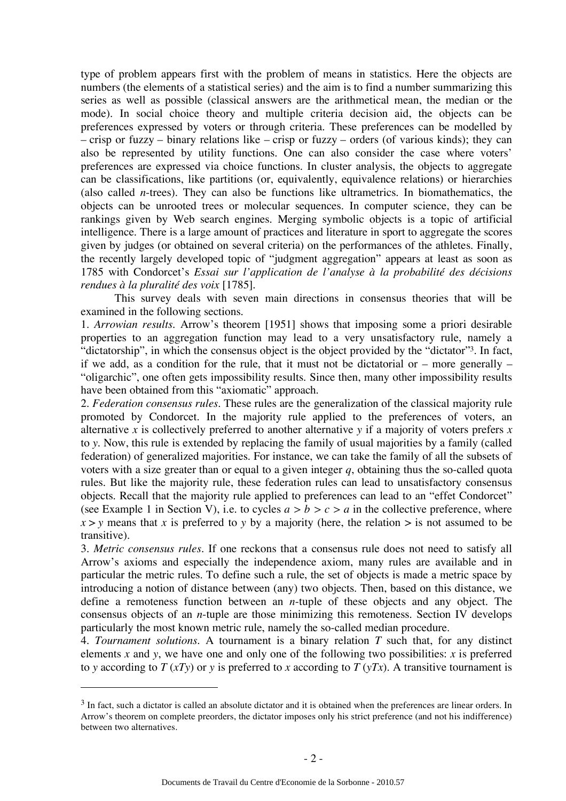type of problem appears first with the problem of means in statistics. Here the objects are numbers (the elements of a statistical series) and the aim is to find a number summarizing this series as well as possible (classical answers are the arithmetical mean, the median or the mode). In social choice theory and multiple criteria decision aid, the objects can be preferences expressed by voters or through criteria. These preferences can be modelled by – crisp or fuzzy – binary relations like – crisp or fuzzy – orders (of various kinds); they can also be represented by utility functions. One can also consider the case where voters' preferences are expressed via choice functions. In cluster analysis, the objects to aggregate can be classifications, like partitions (or, equivalently, equivalence relations) or hierarchies (also called *n*-trees). They can also be functions like ultrametrics. In biomathematics, the objects can be unrooted trees or molecular sequences. In computer science, they can be rankings given by Web search engines. Merging symbolic objects is a topic of artificial intelligence. There is a large amount of practices and literature in sport to aggregate the scores given by judges (or obtained on several criteria) on the performances of the athletes. Finally, the recently largely developed topic of "judgment aggregation" appears at least as soon as 1785 with Condorcet's *Essai sur l'application de l'analyse à la probabilité des décisions rendues à la pluralité des voix* [1785].

This survey deals with seven main directions in consensus theories that will be examined in the following sections.

1. *Arrowian results*. Arrow's theorem [1951] shows that imposing some a priori desirable properties to an aggregation function may lead to a very unsatisfactory rule, namely a "dictatorship", in which the consensus object is the object provided by the "dictator"3. In fact, if we add, as a condition for the rule, that it must not be dictatorial or – more generally – "oligarchic", one often gets impossibility results. Since then, many other impossibility results have been obtained from this "axiomatic" approach.

2. *Federation consensus rules*. These rules are the generalization of the classical majority rule promoted by Condorcet. In the majority rule applied to the preferences of voters, an alternative *x* is collectively preferred to another alternative *y* if a majority of voters prefers *x*  to *y*. Now, this rule is extended by replacing the family of usual majorities by a family (called federation) of generalized majorities. For instance, we can take the family of all the subsets of voters with a size greater than or equal to a given integer *q*, obtaining thus the so-called quota rules. But like the majority rule, these federation rules can lead to unsatisfactory consensus objects. Recall that the majority rule applied to preferences can lead to an "effet Condorcet" (see Example 1 in Section V), i.e. to cycles  $a > b > c > a$  in the collective preference, where  $x > y$  means that *x* is preferred to *y* by a majority (here, the relation  $>$  is not assumed to be transitive).

3. *Metric consensus rules.* If one reckons that a consensus rule does not need to satisfy all Arrow's axioms and especially the independence axiom, many rules are available and in particular the metric rules. To define such a rule, the set of objects is made a metric space by introducing a notion of distance between (any) two objects. Then, based on this distance, we define a remoteness function between an *n*-tuple of these objects and any object. The consensus objects of an *n*-tuple are those minimizing this remoteness. Section IV develops particularly the most known metric rule, namely the so-called median procedure.

4. *Tournament solutions*. A tournament is a binary relation *T* such that, for any distinct elements  $x$  and  $y$ , we have one and only one of the following two possibilities:  $x$  is preferred to *y* according to  $T (xTy)$  or *y* is preferred to *x* according to  $T (yTx)$ . A transitive tournament is

 $3$  In fact, such a dictator is called an absolute dictator and it is obtained when the preferences are linear orders. In Arrow's theorem on complete preorders, the dictator imposes only his strict preference (and not his indifference) between two alternatives.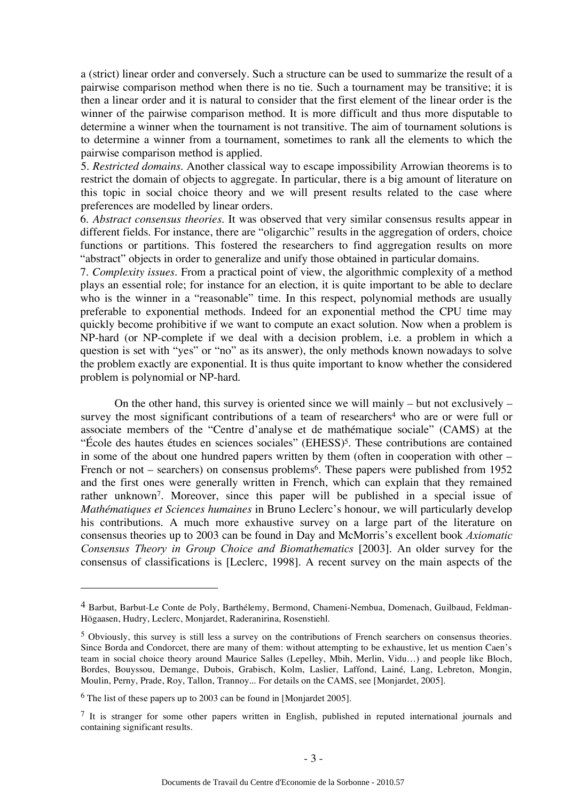a (strict) linear order and conversely. Such a structure can be used to summarize the result of a pairwise comparison method when there is no tie. Such a tournament may be transitive; it is then a linear order and it is natural to consider that the first element of the linear order is the winner of the pairwise comparison method. It is more difficult and thus more disputable to determine a winner when the tournament is not transitive. The aim of tournament solutions is to determine a winner from a tournament, sometimes to rank all the elements to which the pairwise comparison method is applied.

5. *Restricted domains.* Another classical way to escape impossibility Arrowian theorems is to restrict the domain of objects to aggregate. In particular, there is a big amount of literature on this topic in social choice theory and we will present results related to the case where preferences are modelled by linear orders.

6. *Abstract consensus theories.* It was observed that very similar consensus results appear in different fields. For instance, there are "oligarchic" results in the aggregation of orders, choice functions or partitions. This fostered the researchers to find aggregation results on more "abstract" objects in order to generalize and unify those obtained in particular domains.

7. *Complexity issues*. From a practical point of view, the algorithmic complexity of a method plays an essential role; for instance for an election, it is quite important to be able to declare who is the winner in a "reasonable" time. In this respect, polynomial methods are usually preferable to exponential methods. Indeed for an exponential method the CPU time may quickly become prohibitive if we want to compute an exact solution. Now when a problem is NP-hard (or NP-complete if we deal with a decision problem, i.e. a problem in which a question is set with "yes" or "no" as its answer), the only methods known nowadays to solve the problem exactly are exponential. It is thus quite important to know whether the considered problem is polynomial or NP-hard.

On the other hand, this survey is oriented since we will mainly – but not exclusively – survey the most significant contributions of a team of researchers<sup>4</sup> who are or were full or associate members of the "Centre d'analyse et de mathématique sociale" (CAMS) at the "École des hautes études en sciences sociales" (EHESS)5. These contributions are contained in some of the about one hundred papers written by them (often in cooperation with other – French or not – searchers) on consensus problems<sup>6</sup>. These papers were published from 1952 and the first ones were generally written in French, which can explain that they remained rather unknown7. Moreover, since this paper will be published in a special issue of *Mathématiques et Sciences humaines* in Bruno Leclerc's honour, we will particularly develop his contributions. A much more exhaustive survey on a large part of the literature on consensus theories up to 2003 can be found in Day and McMorris's excellent book *Axiomatic Consensus Theory in Group Choice and Biomathematics* [2003]. An older survey for the consensus of classifications is [Leclerc, 1998]. A recent survey on the main aspects of the

<sup>4</sup> Barbut, Barbut-Le Conte de Poly, Barthélemy, Bermond, Chameni-Nembua, Domenach, Guilbaud, Feldman-Högaasen, Hudry, Leclerc, Monjardet, Raderanirina, Rosenstiehl.

<sup>5</sup> Obviously, this survey is still less a survey on the contributions of French searchers on consensus theories. Since Borda and Condorcet, there are many of them: without attempting to be exhaustive, let us mention Caen's team in social choice theory around Maurice Salles (Lepelley, Mbih, Merlin, Vidu…) and people like Bloch, Bordes, Bouyssou, Demange, Dubois, Grabisch, Kolm, Laslier, Laffond, Lainé, Lang, Lebreton, Mongin, Moulin, Perny, Prade, Roy, Tallon, Trannoy... For details on the CAMS, see [Monjardet, 2005].

<sup>6</sup> The list of these papers up to 2003 can be found in [Monjardet 2005].

<sup>&</sup>lt;sup>7</sup> It is stranger for some other papers written in English, published in reputed international journals and containing significant results.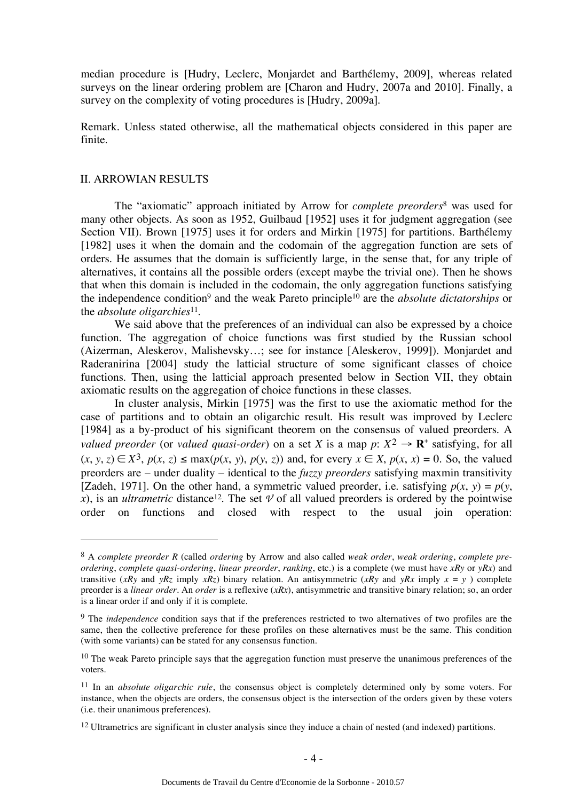median procedure is [Hudry, Leclerc, Monjardet and Barthélemy, 2009], whereas related surveys on the linear ordering problem are [Charon and Hudry, 2007a and 2010]. Finally, a survey on the complexity of voting procedures is [Hudry, 2009a].

Remark. Unless stated otherwise, all the mathematical objects considered in this paper are finite.

#### II. ARROWIAN RESULTS

 $\overline{a}$ 

The "axiomatic" approach initiated by Arrow for *complete preorders*8 was used for many other objects. As soon as 1952, Guilbaud [1952] uses it for judgment aggregation (see Section VII). Brown [1975] uses it for orders and Mirkin [1975] for partitions. Barthélemy [1982] uses it when the domain and the codomain of the aggregation function are sets of orders. He assumes that the domain is sufficiently large, in the sense that, for any triple of alternatives, it contains all the possible orders (except maybe the trivial one). Then he shows that when this domain is included in the codomain, the only aggregation functions satisfying the independence condition9 and the weak Pareto principle10 are the *absolute dictatorships* or the *absolute oligarchies*11.

We said above that the preferences of an individual can also be expressed by a choice function. The aggregation of choice functions was first studied by the Russian school (Aizerman, Aleskerov, Malishevsky…; see for instance [Aleskerov, 1999]). Monjardet and Raderanirina [2004] study the latticial structure of some significant classes of choice functions. Then, using the latticial approach presented below in Section VII, they obtain axiomatic results on the aggregation of choice functions in these classes.

In cluster analysis, Mirkin [1975] was the first to use the axiomatic method for the case of partitions and to obtain an oligarchic result. His result was improved by Leclerc [1984] as a by-product of his significant theorem on the consensus of valued preorders. A *valued preorder* (or *valued quasi-order*) on a set *X* is a map  $p: X^2 \to \mathbf{R}^+$  satisfying, for all  $(x, y, z) \in X^3$ ,  $p(x, z) \le \max(p(x, y), p(y, z))$  and, for every  $x \in X$ ,  $p(x, x) = 0$ . So, the valued preorders are – under duality – identical to the *fuzzy preorders* satisfying maxmin transitivity [Zadeh, 1971]. On the other hand, a symmetric valued preorder, i.e. satisfying  $p(x, y) = p(y, y)$ *x*), is an *ultrametric* distance<sup>12</sup>. The set  $\nu$  of all valued preorders is ordered by the pointwise order on functions and closed with respect to the usual join operation:

<sup>8</sup> A *complete preorder R* (called *ordering* by Arrow and also called *weak order*, *weak ordering*, *complete preordering*, *complete quasi-ordering*, *linear preorder*, *ranking*, etc.) is a complete (we must have *xRy* or *yRx*) and transitive (*xRy* and *yRz* imply *xRz*) binary relation. An antisymmetric (*xRy* and *yRx* imply  $x = y$ ) complete preorder is a *linear order*. An *order* is a reflexive (*xRx*), antisymmetric and transitive binary relation; so, an order is a linear order if and only if it is complete.

<sup>&</sup>lt;sup>9</sup> The *independence* condition says that if the preferences restricted to two alternatives of two profiles are the same, then the collective preference for these profiles on these alternatives must be the same. This condition (with some variants) can be stated for any consensus function.

<sup>&</sup>lt;sup>10</sup> The weak Pareto principle says that the aggregation function must preserve the unanimous preferences of the voters.

<sup>11</sup> In an *absolute oligarchic rule*, the consensus object is completely determined only by some voters. For instance, when the objects are orders, the consensus object is the intersection of the orders given by these voters (i.e. their unanimous preferences).

<sup>&</sup>lt;sup>12</sup> Ultrametrics are significant in cluster analysis since they induce a chain of nested (and indexed) partitions.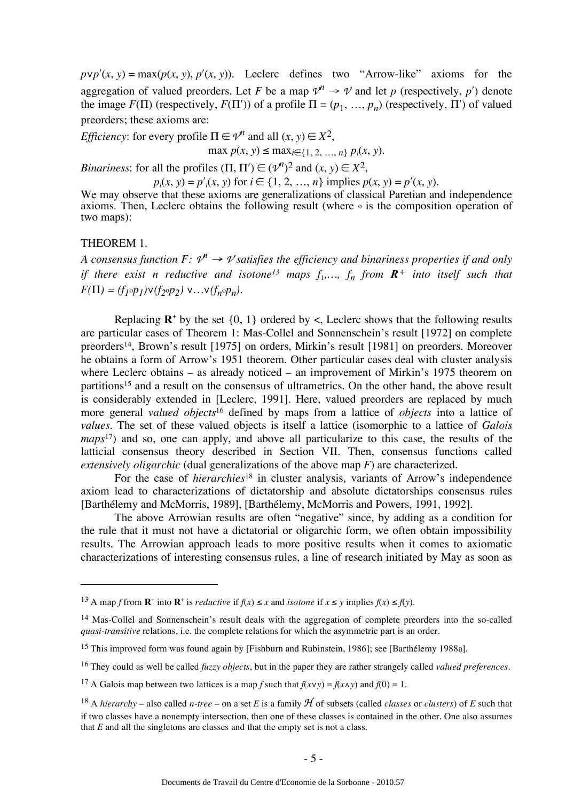$p \vee p' (x, y) = \max(p(x, y), p'(x, y))$ . Leclerc defines two "Arrow-like" axioms for the aggregation of valued preorders. Let *F* be a map  $\mathcal{V}^n \to \mathcal{V}$  and let *p* (respectively, *p'*) denote the image  $F(\Pi)$  (respectively,  $F(\Pi')$ ) of a profile  $\Pi = (p_1, ..., p_n)$  (respectively,  $\Pi'$ ) of valued preorders; these axioms are:

*Efficiency*: for every profile  $\Pi \in \mathcal{V}^n$  and all  $(x, y) \in X^2$ ,

 $\max p(x, y) \le \max_{i \in \{1, 2, ..., n\}} p_i(x, y).$ 

*Binariness*: for all the profiles  $(\Pi, \Pi') \in (\mathcal{V}^n)^2$  and  $(x, y) \in X^2$ ,

 $p_i(x, y) = p'_i(x, y)$  for  $i \in \{1, 2, ..., n\}$  implies  $p(x, y) = p'(x, y)$ .

We may observe that these axioms are generalizations of classical Paretian and independence axioms. Then, Leclerc obtains the following result (where  $\circ$  is the composition operation of two maps):

#### THEOREM 1.

 $\overline{a}$ 

*A consensus function F:*  $\mathcal{V}^n \to \mathcal{V}$  *satisfies the efficiency and binariness properties if and only if there exist n reductive and isotone*<sup>13</sup> maps  $f_1, \ldots, f_n$  from  $\mathbb{R}^+$  *into itself such that*  $F(\Pi) = (f_1 \circ p_1) \vee (f_2 \circ p_2) \vee \dots \vee (f_n \circ p_n).$ 

Replacing  $\mathbb{R}^+$  by the set  $\{0, 1\}$  ordered by <, Leclerc shows that the following results are particular cases of Theorem 1: Mas-Collel and Sonnenschein's result [1972] on complete preorders14, Brown's result [1975] on orders, Mirkin's result [1981] on preorders. Moreover he obtains a form of Arrow's 1951 theorem. Other particular cases deal with cluster analysis where Leclerc obtains – as already noticed – an improvement of Mirkin's 1975 theorem on partitions<sup>15</sup> and a result on the consensus of ultrametrics. On the other hand, the above result is considerably extended in [Leclerc, 1991]. Here, valued preorders are replaced by much more general *valued objects*16 defined by maps from a lattice of *objects* into a lattice of *values*. The set of these valued objects is itself a lattice (isomorphic to a lattice of *Galois maps*17) and so, one can apply, and above all particularize to this case, the results of the latticial consensus theory described in Section VII. Then, consensus functions called *extensively oligarchic* (dual generalizations of the above map *F*) are characterized.

For the case of *hierarchies*<sup>18</sup> in cluster analysis, variants of Arrow's independence axiom lead to characterizations of dictatorship and absolute dictatorships consensus rules [Barthélemy and McMorris, 1989], [Barthélemy, McMorris and Powers, 1991, 1992].

The above Arrowian results are often "negative" since, by adding as a condition for the rule that it must not have a dictatorial or oligarchic form, we often obtain impossibility results. The Arrowian approach leads to more positive results when it comes to axiomatic characterizations of interesting consensus rules, a line of research initiated by May as soon as

<sup>&</sup>lt;sup>13</sup> A map *f* from **R**<sup>+</sup> into **R**<sup>+</sup> is *reductive* if  $f(x) \le x$  and *isotone* if  $x \le y$  implies  $f(x) \le f(y)$ .

<sup>&</sup>lt;sup>14</sup> Mas-Collel and Sonnenschein's result deals with the aggregation of complete preorders into the so-called *quasi-transitive* relations, i.e. the complete relations for which the asymmetric part is an order.

<sup>&</sup>lt;sup>15</sup> This improved form was found again by [Fishburn and Rubinstein, 1986]; see [Barthélemy 1988a].

<sup>16</sup> They could as well be called *fuzzy objects*, but in the paper they are rather strangely called *valued preferences*.

<sup>&</sup>lt;sup>17</sup> A Galois map between two lattices is a map *f* such that  $f(x \vee y) = f(x \wedge y)$  and  $f(0) = 1$ .

<sup>&</sup>lt;sup>18</sup> A *hierarchy* – also called *n-tree* – on a set *E* is a family  $H$  of subsets (called *classes* or *clusters*) of *E* such that if two classes have a nonempty intersection, then one of these classes is contained in the other. One also assumes that  $E$  and all the singletons are classes and that the empty set is not a class.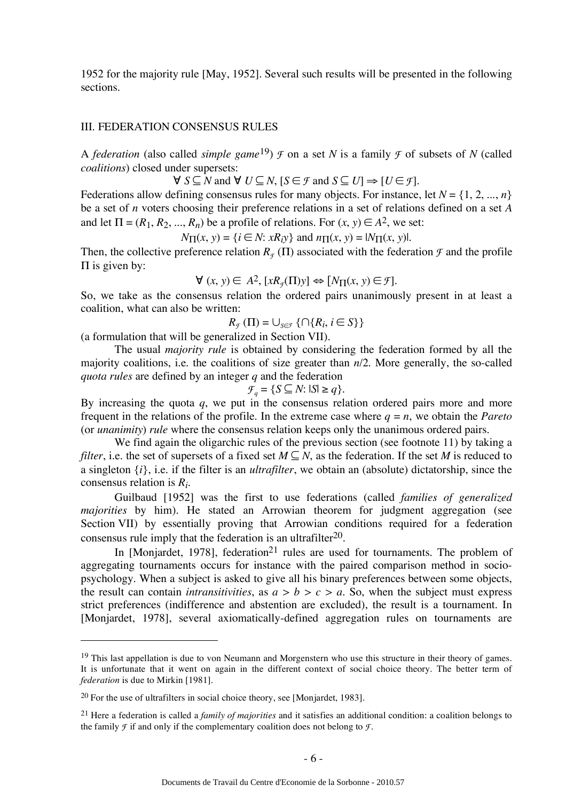1952 for the majority rule [May, 1952]. Several such results will be presented in the following sections.

#### III. FEDERATION CONSENSUS RULES

A *federation* (also called *simple game*<sup>19</sup>)  $\mathcal F$  on a set *N* is a family  $\mathcal F$  of subsets of *N* (called *coalitions*) closed under supersets:

 $\forall S \subseteq N$  and  $\forall U \subseteq N$ ,  $S \in \mathcal{F}$  and  $S \subseteq U$  ⇒  $\forall U \in \mathcal{F}$ .

Federations allow defining consensus rules for many objects. For instance, let  $N = \{1, 2, ..., n\}$ be a set of *n* voters choosing their preference relations in a set of relations defined on a set *A*  and let  $\Pi = (R_1, R_2, ..., R_n)$  be a profile of relations. For  $(x, y) \in A^2$ , we set:

 $N_{\Pi}(x, y) = \{i \in \mathbb{N} : xR_i y\}$  and  $n_{\Pi}(x, y) = |N_{\Pi}(x, y)|$ .

Then, the collective preference relation  $R_F(\Pi)$  associated with the federation  $\mathcal F$  and the profile  $\Pi$  is given by:

$$
\forall (x, y) \in A^2, [xR_{\mathcal{F}}(\Pi)y] \Leftrightarrow [N_{\Pi}(x, y) \in \mathcal{F}].
$$

So, we take as the consensus relation the ordered pairs unanimously present in at least a coalition, what can also be written:

$$
R_{\mathcal{F}}(\Pi) = \bigcup_{S \in \mathcal{F}} \{ \cap \{R_i, i \in S\} \}
$$

(a formulation that will be generalized in Section VII).

The usual *majority rule* is obtained by considering the federation formed by all the majority coalitions, i.e. the coalitions of size greater than *n*/2. More generally, the so-called *quota rules* are defined by an integer *q* and the federation

$$
\mathcal{F}_q = \{ S \subseteq N : |S| \ge q \}.
$$

By increasing the quota *q*, we put in the consensus relation ordered pairs more and more frequent in the relations of the profile. In the extreme case where  $q = n$ , we obtain the *Pareto* (or *unanimity*) *rule* where the consensus relation keeps only the unanimous ordered pairs.

We find again the oligarchic rules of the previous section (see footnote 11) by taking a *filter*, i.e. the set of supersets of a fixed set  $M \subseteq N$ , as the federation. If the set *M* is reduced to a singleton {*i*}, i.e. if the filter is an *ultrafilter*, we obtain an (absolute) dictatorship, since the consensus relation is *Ri*.

Guilbaud [1952] was the first to use federations (called *families of generalized majorities* by him). He stated an Arrowian theorem for judgment aggregation (see Section VII) by essentially proving that Arrowian conditions required for a federation consensus rule imply that the federation is an ultrafilter<sup>20</sup>.

In [Monjardet, 1978], federation<sup>21</sup> rules are used for tournaments. The problem of aggregating tournaments occurs for instance with the paired comparison method in sociopsychology. When a subject is asked to give all his binary preferences between some objects, the result can contain *intransitivities*, as  $a > b > c > a$ . So, when the subject must express strict preferences (indifference and abstention are excluded), the result is a tournament. In [Monjardet, 1978], several axiomatically-defined aggregation rules on tournaments are

 $19$  This last appellation is due to von Neumann and Morgenstern who use this structure in their theory of games. It is unfortunate that it went on again in the different context of social choice theory. The better term of *federation* is due to Mirkin [1981].

<sup>20</sup> For the use of ultrafilters in social choice theory, see [Monjardet, 1983].

<sup>21</sup> Here a federation is called a *family of majorities* and it satisfies an additional condition: a coalition belongs to the family  $\mathcal F$  if and only if the complementary coalition does not belong to  $\mathcal F$ .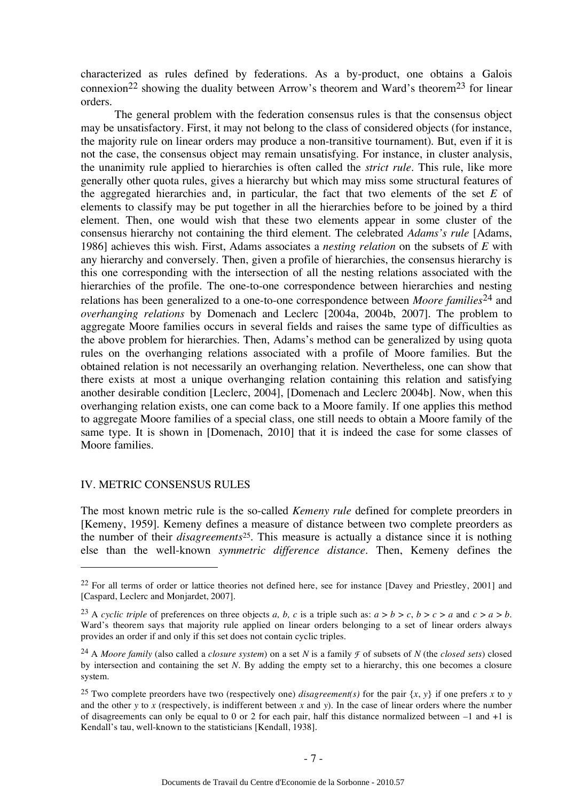characterized as rules defined by federations. As a by-product, one obtains a Galois connexion<sup>22</sup> showing the duality between Arrow's theorem and Ward's theorem<sup>23</sup> for linear orders.

The general problem with the federation consensus rules is that the consensus object may be unsatisfactory. First, it may not belong to the class of considered objects (for instance, the majority rule on linear orders may produce a non-transitive tournament). But, even if it is not the case, the consensus object may remain unsatisfying. For instance, in cluster analysis, the unanimity rule applied to hierarchies is often called the *strict rule*. This rule, like more generally other quota rules, gives a hierarchy but which may miss some structural features of the aggregated hierarchies and, in particular, the fact that two elements of the set *E* of elements to classify may be put together in all the hierarchies before to be joined by a third element. Then, one would wish that these two elements appear in some cluster of the consensus hierarchy not containing the third element. The celebrated *Adams's rule* [Adams, 1986] achieves this wish. First, Adams associates a *nesting relation* on the subsets of *E* with any hierarchy and conversely. Then, given a profile of hierarchies, the consensus hierarchy is this one corresponding with the intersection of all the nesting relations associated with the hierarchies of the profile. The one-to-one correspondence between hierarchies and nesting relations has been generalized to a one-to-one correspondence between *Moore families*24 and *overhanging relations* by Domenach and Leclerc [2004a, 2004b, 2007]. The problem to aggregate Moore families occurs in several fields and raises the same type of difficulties as the above problem for hierarchies. Then, Adams's method can be generalized by using quota rules on the overhanging relations associated with a profile of Moore families. But the obtained relation is not necessarily an overhanging relation. Nevertheless, one can show that there exists at most a unique overhanging relation containing this relation and satisfying another desirable condition [Leclerc, 2004], [Domenach and Leclerc 2004b]. Now, when this overhanging relation exists, one can come back to a Moore family. If one applies this method to aggregate Moore families of a special class, one still needs to obtain a Moore family of the same type. It is shown in [Domenach, 2010] that it is indeed the case for some classes of Moore families.

## IV. METRIC CONSENSUS RULES

 $\overline{a}$ 

The most known metric rule is the so-called *Kemeny rule* defined for complete preorders in [Kemeny, 1959]. Kemeny defines a measure of distance between two complete preorders as the number of their *disagreements*<sup>25</sup>*.* This measure is actually a distance since it is nothing else than the well-known *symmetric difference distance*. Then, Kemeny defines the

<sup>&</sup>lt;sup>22</sup> For all terms of order or lattice theories not defined here, see for instance [Davey and Priestley, 2001] and [Caspard, Leclerc and Monjardet, 2007].

<sup>&</sup>lt;sup>23</sup> A *cyclic triple* of preferences on three objects *a*, *b*, *c* is a triple such as:  $a > b > c$ ,  $b > c > a$  and  $c > a > b$ . Ward's theorem says that majority rule applied on linear orders belonging to a set of linear orders always provides an order if and only if this set does not contain cyclic triples.

<sup>24</sup> A *Moore family* (also called a *closure system*) on a set *N* is a family *F* of subsets of *N* (the *closed sets*) closed by intersection and containing the set *N*. By adding the empty set to a hierarchy, this one becomes a closure system.

<sup>&</sup>lt;sup>25</sup> Two complete preorders have two (respectively one) *disagreement(s)* for the pair  $\{x, y\}$  if one prefers *x* to *y* and the other *y* to *x* (respectively, is indifferent between *x* and *y*). In the case of linear orders where the number of disagreements can only be equal to 0 or 2 for each pair, half this distance normalized between –1 and +1 is Kendall's tau, well-known to the statisticians [Kendall, 1938].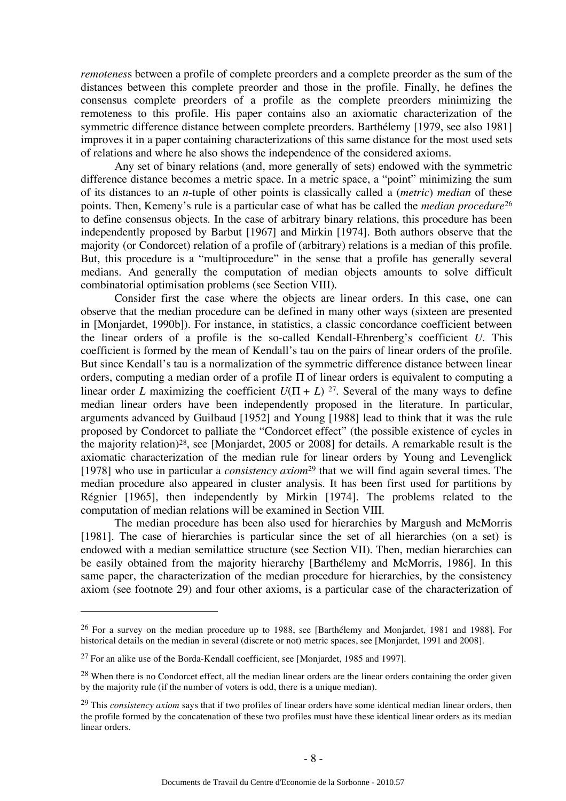*remotenes*s between a profile of complete preorders and a complete preorder as the sum of the distances between this complete preorder and those in the profile. Finally, he defines the consensus complete preorders of a profile as the complete preorders minimizing the remoteness to this profile. His paper contains also an axiomatic characterization of the symmetric difference distance between complete preorders. Barthélemy [1979, see also 1981] improves it in a paper containing characterizations of this same distance for the most used sets of relations and where he also shows the independence of the considered axioms.

Any set of binary relations (and, more generally of sets) endowed with the symmetric difference distance becomes a metric space. In a metric space, a "point" minimizing the sum of its distances to an *n*-tuple of other points is classically called a (*metric*) *median* of these points. Then, Kemeny's rule is a particular case of what has be called the *median procedure*<sup>26</sup> to define consensus objects. In the case of arbitrary binary relations, this procedure has been independently proposed by Barbut [1967] and Mirkin [1974]. Both authors observe that the majority (or Condorcet) relation of a profile of (arbitrary) relations is a median of this profile. But, this procedure is a "multiprocedure" in the sense that a profile has generally several medians. And generally the computation of median objects amounts to solve difficult combinatorial optimisation problems (see Section VIII).

Consider first the case where the objects are linear orders. In this case, one can observe that the median procedure can be defined in many other ways (sixteen are presented in [Monjardet, 1990b]). For instance, in statistics, a classic concordance coefficient between the linear orders of a profile is the so-called Kendall-Ehrenberg's coefficient *U*. This coefficient is formed by the mean of Kendall's tau on the pairs of linear orders of the profile. But since Kendall's tau is a normalization of the symmetric difference distance between linear orders, computing a median order of a profile Π of linear orders is equivalent to computing a linear order *L* maximizing the coefficient  $U(\Pi + L)^{27}$ . Several of the many ways to define median linear orders have been independently proposed in the literature. In particular, arguments advanced by Guilbaud [1952] and Young [1988] lead to think that it was the rule proposed by Condorcet to palliate the "Condorcet effect" (the possible existence of cycles in the majority relation)28, see [Monjardet, 2005 or 2008] for details. A remarkable result is the axiomatic characterization of the median rule for linear orders by Young and Levenglick [1978] who use in particular a *consistency axiom*29 that we will find again several times. The median procedure also appeared in cluster analysis. It has been first used for partitions by Régnier [1965], then independently by Mirkin [1974]. The problems related to the computation of median relations will be examined in Section VIII.

The median procedure has been also used for hierarchies by Margush and McMorris [1981]. The case of hierarchies is particular since the set of all hierarchies (on a set) is endowed with a median semilattice structure (see Section VII). Then, median hierarchies can be easily obtained from the majority hierarchy [Barthélemy and McMorris, 1986]. In this same paper, the characterization of the median procedure for hierarchies, by the consistency axiom (see footnote 29) and four other axioms, is a particular case of the characterization of

<sup>26</sup> For a survey on the median procedure up to 1988, see [Barthélemy and Monjardet, 1981 and 1988]. For historical details on the median in several (discrete or not) metric spaces, see [Monjardet, 1991 and 2008].

<sup>27</sup> For an alike use of the Borda-Kendall coefficient, see [Monjardet, 1985 and 1997].

<sup>&</sup>lt;sup>28</sup> When there is no Condorcet effect, all the median linear orders are the linear orders containing the order given by the majority rule (if the number of voters is odd, there is a unique median).

<sup>29</sup> This *consistency axiom* says that if two profiles of linear orders have some identical median linear orders, then the profile formed by the concatenation of these two profiles must have these identical linear orders as its median linear orders.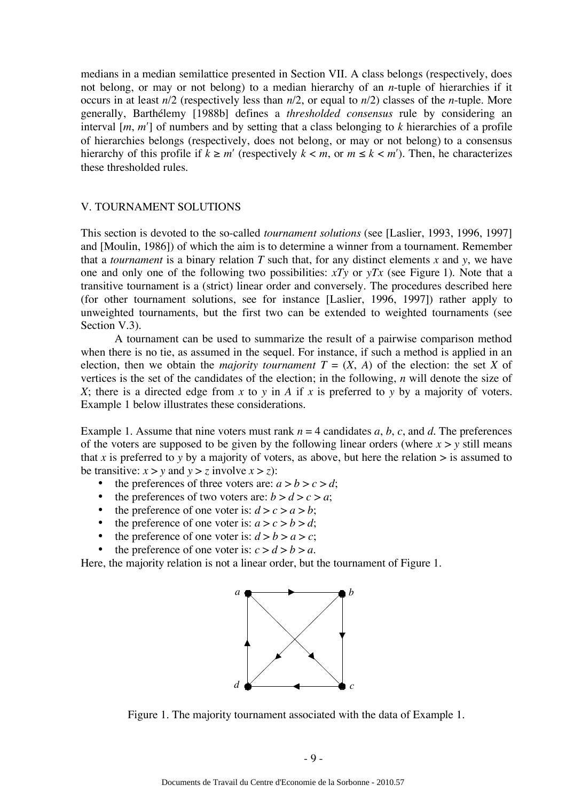medians in a median semilattice presented in Section VII. A class belongs (respectively, does not belong, or may or not belong) to a median hierarchy of an *n*-tuple of hierarchies if it occurs in at least *n*/2 (respectively less than *n*/2, or equal to *n*/2) classes of the *n*-tuple. More generally, Barthélemy [1988b] defines a *thresholded consensus* rule by considering an interval [*m*, *m*′] of numbers and by setting that a class belonging to *k* hierarchies of a profile of hierarchies belongs (respectively, does not belong, or may or not belong) to a consensus hierarchy of this profile if  $k \ge m'$  (respectively  $k < m$ , or  $m \le k < m'$ ). Then, he characterizes these thresholded rules.

#### V. TOURNAMENT SOLUTIONS

This section is devoted to the so-called *tournament solutions* (see [Laslier, 1993, 1996, 1997] and [Moulin, 1986]) of which the aim is to determine a winner from a tournament. Remember that a *tournament* is a binary relation  $T$  such that, for any distinct elements  $x$  and  $y$ , we have one and only one of the following two possibilities: *xTy* or *yTx* (see Figure 1). Note that a transitive tournament is a (strict) linear order and conversely. The procedures described here (for other tournament solutions, see for instance [Laslier, 1996, 1997]) rather apply to unweighted tournaments, but the first two can be extended to weighted tournaments (see Section V.3).

A tournament can be used to summarize the result of a pairwise comparison method when there is no tie, as assumed in the sequel. For instance, if such a method is applied in an election, then we obtain the *majority tournament*  $T = (X, A)$  of the election: the set X of vertices is the set of the candidates of the election; in the following, *n* will denote the size of *X*; there is a directed edge from *x* to *y* in *A* if *x* is preferred to *y* by a majority of voters. Example 1 below illustrates these considerations.

Example 1. Assume that nine voters must rank  $n = 4$  candidates *a*, *b*, *c*, and *d*. The preferences of the voters are supposed to be given by the following linear orders (where  $x > y$  still means that *x* is preferred to *y* by a majority of voters, as above, but here the relation  $>$  is assumed to be transitive:  $x > y$  and  $y > z$  involve  $x > z$ ):

- the preferences of three voters are:  $a > b > c > d$ ;
- the preferences of two voters are:  $b > d > c > a$ ;
- the preference of one voter is:  $d > c > a > b$ ;
- the preference of one voter is:  $a > c > b > d$ ;
- the preference of one voter is:  $d > b > a > c$ ;
- the preference of one voter is:  $c > d > b > a$ .

Here, the majority relation is not a linear order, but the tournament of Figure 1.



Figure 1. The majority tournament associated with the data of Example 1.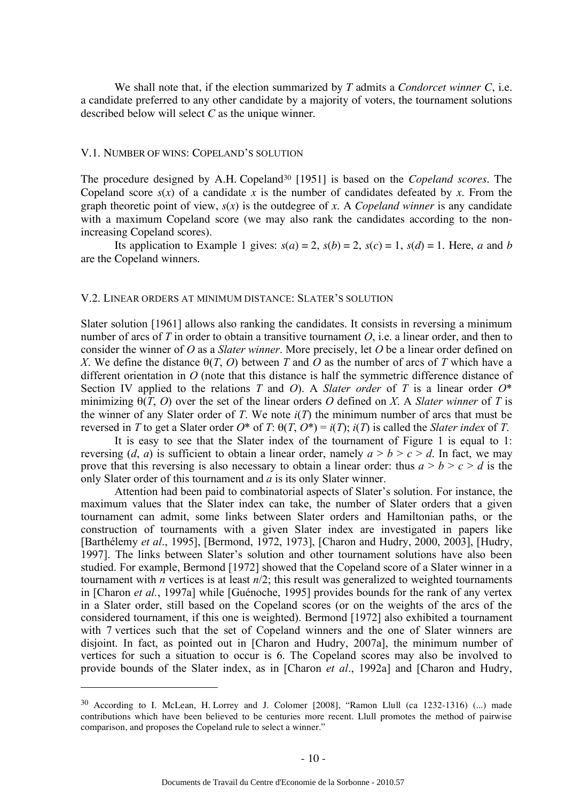We shall note that, if the election summarized by *T* admits a *Condorcet winner C*, i.e. a candidate preferred to any other candidate by a majority of voters, the tournament solutions described below will select *C* as the unique winner.

#### V.1. NUMBER OF WINS: COPELAND'S SOLUTION

 $\overline{a}$ 

The procedure designed by A.H. Copeland30 [1951] is based on the *Copeland scores*. The Copeland score  $s(x)$  of a candidate x is the number of candidates defeated by x. From the graph theoretic point of view,  $s(x)$  is the outdegree of x. A *Copeland winner* is any candidate with a maximum Copeland score (we may also rank the candidates according to the nonincreasing Copeland scores).

Its application to Example 1 gives:  $s(a) = 2$ ,  $s(b) = 2$ ,  $s(c) = 1$ ,  $s(d) = 1$ . Here, *a* and *b* are the Copeland winners.

#### V.2. LINEAR ORDERS AT MINIMUM DISTANCE: SLATER'S SOLUTION

Slater solution [1961] allows also ranking the candidates. It consists in reversing a minimum number of arcs of *T* in order to obtain a transitive tournament *O*, i.e. a linear order, and then to consider the winner of *O* as a *Slater winner*. More precisely, let *O* be a linear order defined on *X*. We define the distance θ(*T*, *O*) between *T* and *O* as the number of arcs of *T* which have a different orientation in *O* (note that this distance is half the symmetric difference distance of Section IV applied to the relations *T* and *O*). A *Slater order* of *T* is a linear order *O*\* minimizing θ(*T*, *O*) over the set of the linear orders *O* defined on *X*. A *Slater winner* of *T* is the winner of any Slater order of *T*. We note  $i(T)$  the minimum number of arcs that must be reversed in *T* to get a Slater order *O*\* of *T*: θ(*T*, *O*\*) = *i*(*T*); *i*(*T*) is called the *Slater index* of *T*.

It is easy to see that the Slater index of the tournament of Figure 1 is equal to 1: reversing (*d*, *a*) is sufficient to obtain a linear order, namely  $a > b > c > d$ . In fact, we may prove that this reversing is also necessary to obtain a linear order: thus  $a > b > c > d$  is the only Slater order of this tournament and *a* is its only Slater winner.

Attention had been paid to combinatorial aspects of Slater's solution. For instance, the maximum values that the Slater index can take, the number of Slater orders that a given tournament can admit, some links between Slater orders and Hamiltonian paths, or the construction of tournaments with a given Slater index are investigated in papers like [Barthélemy *et al*., 1995], [Bermond, 1972, 1973], [Charon and Hudry, 2000, 2003], [Hudry, 1997]. The links between Slater's solution and other tournament solutions have also been studied. For example, Bermond [1972] showed that the Copeland score of a Slater winner in a tournament with *n* vertices is at least *n*/2; this result was generalized to weighted tournaments in [Charon *et al.*, 1997a] while [Guénoche, 1995] provides bounds for the rank of any vertex in a Slater order, still based on the Copeland scores (or on the weights of the arcs of the considered tournament, if this one is weighted). Bermond [1972] also exhibited a tournament with 7 vertices such that the set of Copeland winners and the one of Slater winners are disjoint. In fact, as pointed out in [Charon and Hudry, 2007a], the minimum number of vertices for such a situation to occur is 6. The Copeland scores may also be involved to provide bounds of the Slater index, as in [Charon *et al*., 1992a] and [Charon and Hudry,

<sup>30</sup> According to I. McLean, H. Lorrey and J. Colomer [2008], "Ramon Llull (ca 1232-1316) (...) made contributions which have been believed to be centuries more recent. Llull promotes the method of pairwise comparison, and proposes the Copeland rule to select a winner."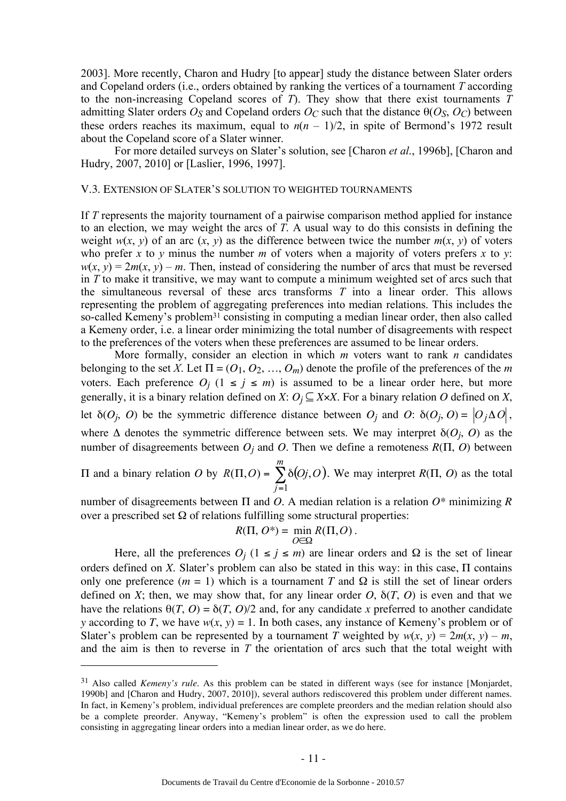2003]. More recently, Charon and Hudry [to appear] study the distance between Slater orders and Copeland orders (i.e., orders obtained by ranking the vertices of a tournament *T* according to the non-increasing Copeland scores of *T*). They show that there exist tournaments *T* admitting Slater orders  $O_S$  and Copeland orders  $O_C$  such that the distance  $\theta(O_S, O_C)$  between these orders reaches its maximum, equal to  $n(n - 1)/2$ , in spite of Bermond's 1972 result about the Copeland score of a Slater winner.

For more detailed surveys on Slater's solution, see [Charon *et al*., 1996b], [Charon and Hudry, 2007, 2010] or [Laslier, 1996, 1997].

#### V.3. EXTENSION OF SLATER'S SOLUTION TO WEIGHTED TOURNAMENTS

If *T* represents the majority tournament of a pairwise comparison method applied for instance to an election, we may weight the arcs of *T*. A usual way to do this consists in defining the weight  $w(x, y)$  of an arc  $(x, y)$  as the difference between twice the number  $m(x, y)$  of voters who prefer *x* to *y* minus the number *m* of voters when a majority of voters prefers *x* to *y*:  $w(x, y) = 2m(x, y) - m$ . Then, instead of considering the number of arcs that must be reversed in *T* to make it transitive, we may want to compute a minimum weighted set of arcs such that the simultaneous reversal of these arcs transforms *T* into a linear order. This allows representing the problem of aggregating preferences into median relations. This includes the so-called Kemeny's problem<sup>31</sup> consisting in computing a median linear order, then also called a Kemeny order, i.e. a linear order minimizing the total number of disagreements with respect to the preferences of the voters when these preferences are assumed to be linear orders.

More formally, consider an election in which *m* voters want to rank *n* candidates belonging to the set *X*. Let  $\Pi = (O_1, O_2, ..., O_m)$  denote the profile of the preferences of the *m* voters. Each preference  $O_j$  ( $1 \le j \le m$ ) is assumed to be a linear order here, but more generally, it is a binary relation defined on *X*:  $O_j \subseteq X \times X$ . For a binary relation *O* defined on *X*, let  $\delta(O_i, O)$  be the symmetric difference distance between  $O_i$  and  $O: \delta(O_i, O) = |O_i \Delta O|$ , where  $\Delta$  denotes the symmetric difference between sets. We may interpret  $\delta(O_i, O)$  as the number of disagreements between *Oj* and *O*. Then we define a remoteness *R*(Π, *O*) between

 $\Pi$  and a binary relation *O* by  $R(\Pi, O) = \sum \delta(Oj, O)$ =  $\Pi, O = \sum \delta$ *m j*  $R(\Pi, O) = \sum \delta(Oj, O)$ 1  $(\Pi, O) = \sum \delta(Oj, O)$ . We may interpret  $R(\Pi, O)$  as the total

number of disagreements between Π and *O*. A median relation is a relation *O\** minimizing *R* over a prescribed set  $Ω$  of relations fulfilling some structural properties:

$$
R(\Pi, O^*) = \min_{O \in \Omega} R(\Pi, O).
$$

Here, all the preferences  $O_j$  ( $1 \le j \le m$ ) are linear orders and  $\Omega$  is the set of linear orders defined on *X*. Slater's problem can also be stated in this way: in this case, Π contains only one preference ( $m = 1$ ) which is a tournament *T* and  $\Omega$  is still the set of linear orders defined on *X*; then, we may show that, for any linear order  $O$ ,  $\delta(T, O)$  is even and that we have the relations  $\theta(T, 0) = \delta(T, 0)/2$  and, for any candidate *x* preferred to another candidate *y* according to *T*, we have  $w(x, y) = 1$ . In both cases, any instance of Kemeny's problem or of Slater's problem can be represented by a tournament *T* weighted by  $w(x, y) = 2m(x, y) - m$ , and the aim is then to reverse in *T* the orientation of arcs such that the total weight with

<sup>31</sup> Also called *Kemeny's rule*. As this problem can be stated in different ways (see for instance [Monjardet, 1990b] and [Charon and Hudry, 2007, 2010]), several authors rediscovered this problem under different names. In fact, in Kemeny's problem, individual preferences are complete preorders and the median relation should also be a complete preorder. Anyway, "Kemeny's problem" is often the expression used to call the problem consisting in aggregating linear orders into a median linear order, as we do here.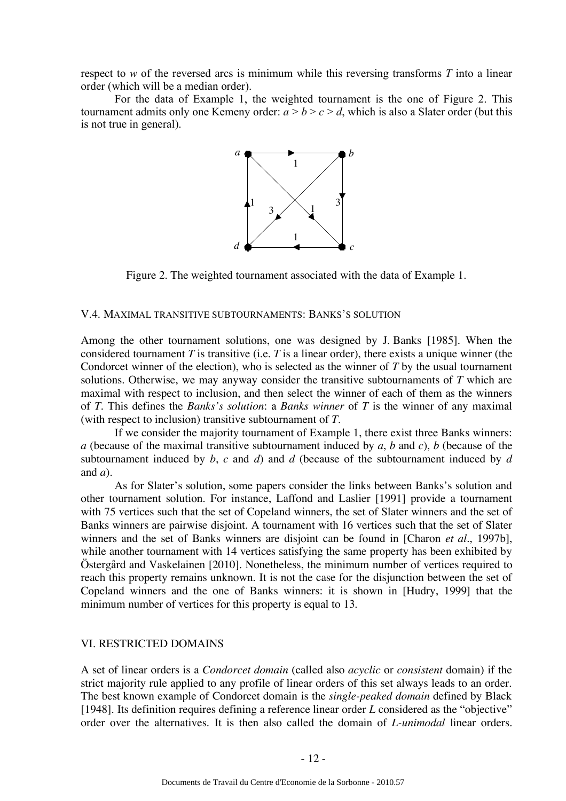respect to *w* of the reversed arcs is minimum while this reversing transforms *T* into a linear order (which will be a median order).

For the data of Example 1, the weighted tournament is the one of Figure 2. This tournament admits only one Kemeny order:  $a > b > c > d$ , which is also a Slater order (but this is not true in general).



Figure 2. The weighted tournament associated with the data of Example 1.

#### V.4. MAXIMAL TRANSITIVE SUBTOURNAMENTS: BANKS'S SOLUTION

Among the other tournament solutions, one was designed by J. Banks [1985]. When the considered tournament *T* is transitive (i.e. *T* is a linear order), there exists a unique winner (the Condorcet winner of the election), who is selected as the winner of *T* by the usual tournament solutions. Otherwise, we may anyway consider the transitive subtournaments of *T* which are maximal with respect to inclusion, and then select the winner of each of them as the winners of *T*. This defines the *Banks's solution*: a *Banks winner* of *T* is the winner of any maximal (with respect to inclusion) transitive subtournament of *T*.

If we consider the majority tournament of Example 1, there exist three Banks winners: *a* (because of the maximal transitive subtournament induced by *a*, *b* and *c*), *b* (because of the subtournament induced by *b*, *c* and *d*) and *d* (because of the subtournament induced by *d* and *a*).

As for Slater's solution, some papers consider the links between Banks's solution and other tournament solution. For instance, Laffond and Laslier [1991] provide a tournament with 75 vertices such that the set of Copeland winners, the set of Slater winners and the set of Banks winners are pairwise disjoint. A tournament with 16 vertices such that the set of Slater winners and the set of Banks winners are disjoint can be found in [Charon *et al.*, 1997b], while another tournament with 14 vertices satisfying the same property has been exhibited by Östergård and Vaskelainen [2010]. Nonetheless, the minimum number of vertices required to reach this property remains unknown. It is not the case for the disjunction between the set of Copeland winners and the one of Banks winners: it is shown in [Hudry, 1999] that the minimum number of vertices for this property is equal to 13.

#### VI. RESTRICTED DOMAINS

A set of linear orders is a *Condorcet domain* (called also *acyclic* or *consistent* domain) if the strict majority rule applied to any profile of linear orders of this set always leads to an order. The best known example of Condorcet domain is the *single-peaked domain* defined by Black [1948]. Its definition requires defining a reference linear order *L* considered as the "objective" order over the alternatives. It is then also called the domain of *L-unimodal* linear orders.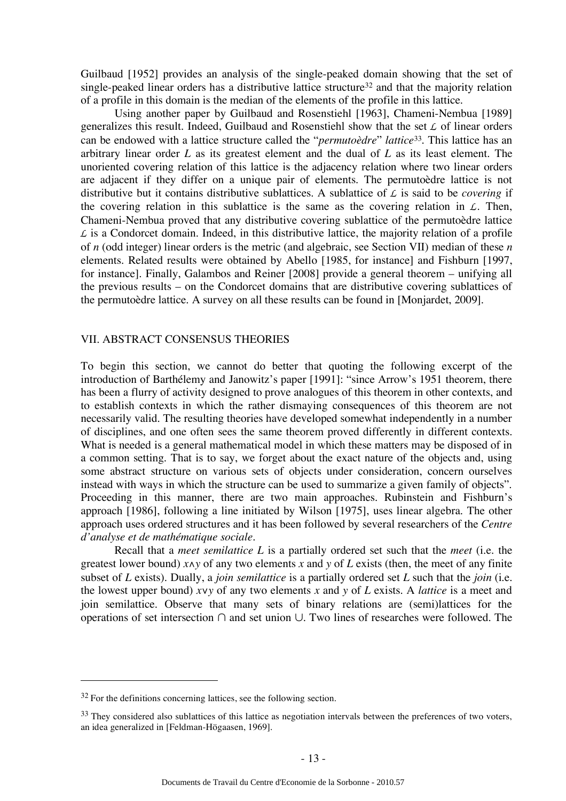Guilbaud [1952] provides an analysis of the single-peaked domain showing that the set of single-peaked linear orders has a distributive lattice structure<sup>32</sup> and that the majority relation of a profile in this domain is the median of the elements of the profile in this lattice.

Using another paper by Guilbaud and Rosenstiehl [1963], Chameni-Nembua [1989] generalizes this result. Indeed, Guilbaud and Rosenstiehl show that the set *L* of linear orders can be endowed with a lattice structure called the "*permutoèdre*" *lattice*33. This lattice has an arbitrary linear order *L* as its greatest element and the dual of *L* as its least element. The unoriented covering relation of this lattice is the adjacency relation where two linear orders are adjacent if they differ on a unique pair of elements. The permutoèdre lattice is not distributive but it contains distributive sublattices. A sublattice of *L* is said to be *covering* if the covering relation in this sublattice is the same as the covering relation in *L*. Then, Chameni-Nembua proved that any distributive covering sublattice of the permutoèdre lattice  $\angle$  is a Condorcet domain. Indeed, in this distributive lattice, the majority relation of a profile of *n* (odd integer) linear orders is the metric (and algebraic, see Section VII) median of these *n* elements. Related results were obtained by Abello [1985, for instance] and Fishburn [1997, for instance]. Finally, Galambos and Reiner [2008] provide a general theorem – unifying all the previous results – on the Condorcet domains that are distributive covering sublattices of the permutoèdre lattice. A survey on all these results can be found in [Monjardet, 2009].

#### VII. ABSTRACT CONSENSUS THEORIES

To begin this section, we cannot do better that quoting the following excerpt of the introduction of Barthélemy and Janowitz's paper [1991]: "since Arrow's 1951 theorem, there has been a flurry of activity designed to prove analogues of this theorem in other contexts, and to establish contexts in which the rather dismaying consequences of this theorem are not necessarily valid. The resulting theories have developed somewhat independently in a number of disciplines, and one often sees the same theorem proved differently in different contexts. What is needed is a general mathematical model in which these matters may be disposed of in a common setting. That is to say, we forget about the exact nature of the objects and, using some abstract structure on various sets of objects under consideration, concern ourselves instead with ways in which the structure can be used to summarize a given family of objects". Proceeding in this manner, there are two main approaches. Rubinstein and Fishburn's approach [1986], following a line initiated by Wilson [1975], uses linear algebra. The other approach uses ordered structures and it has been followed by several researchers of the *Centre d'analyse et de mathématique sociale*.

Recall that a *meet semilattice L* is a partially ordered set such that the *meet* (i.e. the greatest lower bound) *x*∧*y* of any two elements *x* and *y* of *L* exists (then, the meet of any finite subset of *L* exists). Dually, a *join semilattice* is a partially ordered set *L* such that the *join* (i.e. the lowest upper bound) *x*∨*y* of any two elements *x* and *y* of *L* exists. A *lattice* is a meet and join semilattice. Observe that many sets of binary relations are (semi)lattices for the operations of set intersection ∩ and set union ∪. Two lines of researches were followed. The

 $32$  For the definitions concerning lattices, see the following section.

 $33$  They considered also sublattices of this lattice as negotiation intervals between the preferences of two voters, an idea generalized in [Feldman-Högaasen, 1969].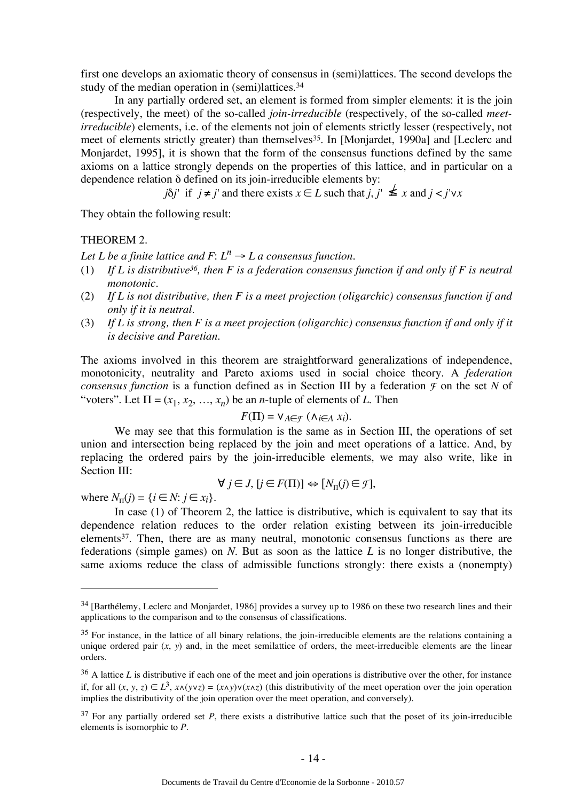first one develops an axiomatic theory of consensus in (semi)lattices. The second develops the study of the median operation in (semi)lattices.<sup>34</sup>

In any partially ordered set, an element is formed from simpler elements: it is the join (respectively, the meet) of the so-called *join-irreducible* (respectively, of the so-called *meetirreducible*) elements, i.e. of the elements not join of elements strictly lesser (respectively, not meet of elements strictly greater) than themselves<sup>35</sup>. In [Monjardet, 1990a] and [Leclerc and Monjardet, 1995], it is shown that the form of the consensus functions defined by the same axioms on a lattice strongly depends on the properties of this lattice, and in particular on a dependence relation δ defined on its join-irreducible elements by:

 $j\delta j'$  if  $j \neq j'$  and there exists  $x \in L$  such that  $j, j' \nleq x$  and  $j < j' \vee x$ 

They obtain the following result:

#### THEOREM 2.

*Let L be a finite lattice and F:*  $L^n \rightarrow L$  *a consensus function.* 

- (1) *If L is distributive36, then F is a federation consensus function if and only if F is neutral monotonic.*
- (2) *If L is not distributive, then F is a meet projection (oligarchic) consensus function if and only if it is neutral.*
- (3) *If L is strong, then F is a meet projection (oligarchic) consensus function if and only if it is decisive and Paretian.*

The axioms involved in this theorem are straightforward generalizations of independence, monotonicity, neutrality and Pareto axioms used in social choice theory. A *federation consensus function* is a function defined as in Section III by a federation  $\mathcal F$  on the set  $N$  of "voters". Let  $\Pi = (x_1, x_2, ..., x_n)$  be an *n*-tuple of elements of *L*. Then

$$
F(\Pi) = \mathsf{V}_{A \in \mathcal{F}} (\land_{i \in A} x_i).
$$

We may see that this formulation is the same as in Section III, the operations of set union and intersection being replaced by the join and meet operations of a lattice. And, by replacing the ordered pairs by the join-irreducible elements, we may also write, like in Section III:

$$
\forall j \in J, [j \in F(\Pi)] \Leftrightarrow [N_{\Pi}(j) \in \mathcal{F}],
$$

where  $N_{\Pi}(j) = \{i \in \mathbb{N} : j \in x_i\}.$ 

 $\overline{a}$ 

In case (1) of Theorem 2, the lattice is distributive, which is equivalent to say that its dependence relation reduces to the order relation existing between its join-irreducible elements $37$ . Then, there are as many neutral, monotonic consensus functions as there are federations (simple games) on *N*. But as soon as the lattice *L* is no longer distributive, the same axioms reduce the class of admissible functions strongly: there exists a (nonempty)

<sup>&</sup>lt;sup>34</sup> [Barthélemy, Leclerc and Monjardet, 1986] provides a survey up to 1986 on these two research lines and their applications to the comparison and to the consensus of classifications.

 $35$  For instance, in the lattice of all binary relations, the join-irreducible elements are the relations containing a unique ordered pair  $(x, y)$  and, in the meet semilattice of orders, the meet-irreducible elements are the linear orders.

 $36$  A lattice *L* is distributive if each one of the meet and join operations is distributive over the other, for instance if, for all  $(x, y, z)$  ∈  $L^3$ ,  $x \wedge (y \vee z) = (x \wedge y) \vee (x \wedge z)$  (this distributivity of the meet operation over the join operation implies the distributivity of the join operation over the meet operation, and conversely).

 $37$  For any partially ordered set *P*, there exists a distributive lattice such that the poset of its join-irreducible elements is isomorphic to *P*.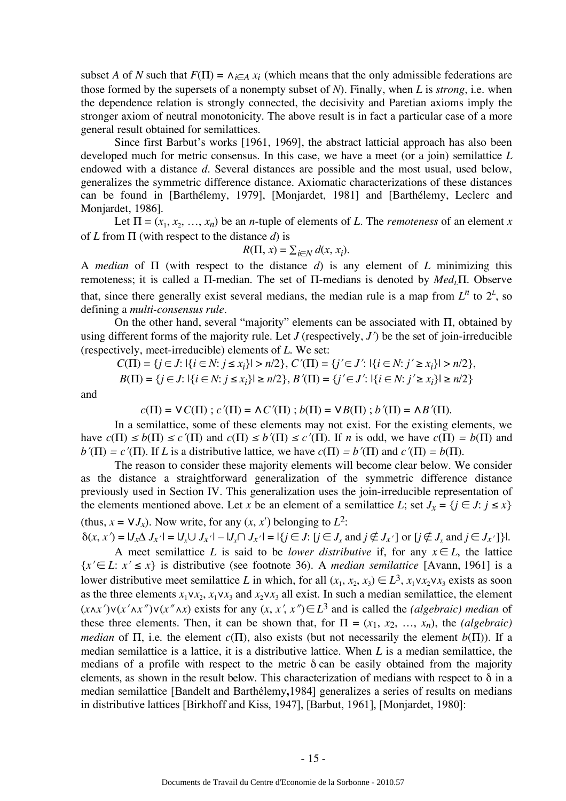subset *A* of *N* such that  $F(\Pi) = \Lambda_{i \in A} x_i$  (which means that the only admissible federations are those formed by the supersets of a nonempty subset of *N*). Finally, when *L* is *strong*, i.e. when the dependence relation is strongly connected, the decisivity and Paretian axioms imply the stronger axiom of neutral monotonicity. The above result is in fact a particular case of a more general result obtained for semilattices.

Since first Barbut's works [1961, 1969], the abstract latticial approach has also been developed much for metric consensus. In this case, we have a meet (or a join) semilattice *L* endowed with a distance *d*. Several distances are possible and the most usual, used below, generalizes the symmetric difference distance. Axiomatic characterizations of these distances can be found in [Barthélemy, 1979], [Monjardet, 1981] and [Barthélemy, Leclerc and Monjardet, 1986].

Let  $\Pi = (x_1, x_2, \ldots, x_n)$  be an *n*-tuple of elements of *L*. The *remoteness* of an element *x* of *L* from Π (with respect to the distance *d*) is

$$
R(\Pi, x) = \sum_{i \in N} d(x, x_i).
$$

A *median* of Π (with respect to the distance *d*) is any element of *L* minimizing this remoteness; it is called a Π-median. The set of Π-medians is denoted by *Med<sub>I</sub>*Π. Observe that, since there generally exist several medians, the median rule is a map from  $L^n$  to  $2^L$ , so defining a *multi-consensus rule*.

On the other hand, several "majority" elements can be associated with Π, obtained by using different forms of the majority rule. Let  $J$  (respectively,  $J'$ ) be the set of join-irreducible (respectively, meet-irreducible) elements of *L*. We set:

$$
C(\Pi) = \{j \in J: |\{i \in N: j \le x_i\}| > n/2\}, C'(\Pi) = \{j' \in J': |\{i \in N: j' \ge x_i\}| > n/2\},
$$
  

$$
B(\Pi) = \{j \in J: |\{i \in N: j \le x_i\}| \ge n/2\}, B'(\Pi) = \{j' \in J': |\{i \in N: j' \ge x_i\}| \ge n/2\}
$$

and

 $c(\Pi) = \mathsf{V}C(\Pi)$ ;  $c'(\Pi) = \mathsf{\Lambda}C'(\Pi)$ ;  $b(\Pi) = \mathsf{V}B(\Pi)$ ;  $b'(\Pi) = \mathsf{\Lambda}B'(\Pi)$ .

In a semilattice, some of these elements may not exist*.* For the existing elements, we have  $c(\Pi) \leq b(\Pi) \leq c'(\Pi)$  and  $c(\Pi) \leq b'(\Pi) \leq c'(\Pi)$ . If *n* is odd, we have  $c(\Pi) = b(\Pi)$  and  $b'(\Pi) = c'(\Pi)$ . If *L* is a distributive lattice, we have  $c(\Pi) = b'(\Pi)$  and  $c'(\Pi) = b(\Pi)$ .

The reason to consider these majority elements will become clear below. We consider as the distance a straightforward generalization of the symmetric difference distance previously used in Section IV. This generalization uses the join-irreducible representation of the elements mentioned above. Let *x* be an element of a semilattice *L*; set  $J_x = \{j \in J : j \le x\}$ (thus,  $x = \sqrt{J_x}$ ). Now write, for any  $(x, x')$  belonging to  $L^2$ :

 $\delta(x, x') = |J_x \Delta J_{x'}| = |J_x \cup J_{x'}| - |J_x \cap J_{x'}| = |\{j \in J : |j \in J_x \text{ and } j \notin J_{x'}|\text{ or } [j \notin J_x \text{ and } j \in J_{x'}]\}|.$ A meet semilattice *L* is said to be *lower distributive* if, for any  $x \in L$ , the lattice  ${x' \in L: x' \leq x}$  is distributive (see footnote 36). A *median semilattice* [Avann, 1961] is a lower distributive meet semilattice *L* in which, for all  $(x_1, x_2, x_3) \in L^3$ ,  $x_1 \vee x_2 \vee x_3$  exists as soon as the three elements  $x_1 \vee x_2$ ,  $x_1 \vee x_3$  and  $x_2 \vee x_3$  all exist. In such a median semilattice, the element  $(x \wedge x') \vee (x' \wedge x'') \vee (x'' \wedge x)$  exists for any  $(x, x', x'') \in L^3$  and is called the *(algebraic)* median of these three elements. Then, it can be shown that, for  $\Pi = (x_1, x_2, ..., x_n)$ , the *(algebraic) median* of  $\Pi$ , i.e. the element  $c(\Pi)$ , also exists (but not necessarily the element  $b(\Pi)$ ). If a median semilattice is a lattice, it is a distributive lattice. When *L* is a median semilattice, the medians of a profile with respect to the metric  $\delta$  can be easily obtained from the majority elements, as shown in the result below. This characterization of medians with respect to δ in a median semilattice [Bandelt and Barthélemy**,**1984] generalizes a series of results on medians in distributive lattices [Birkhoff and Kiss, 1947], [Barbut, 1961], [Monjardet, 1980]: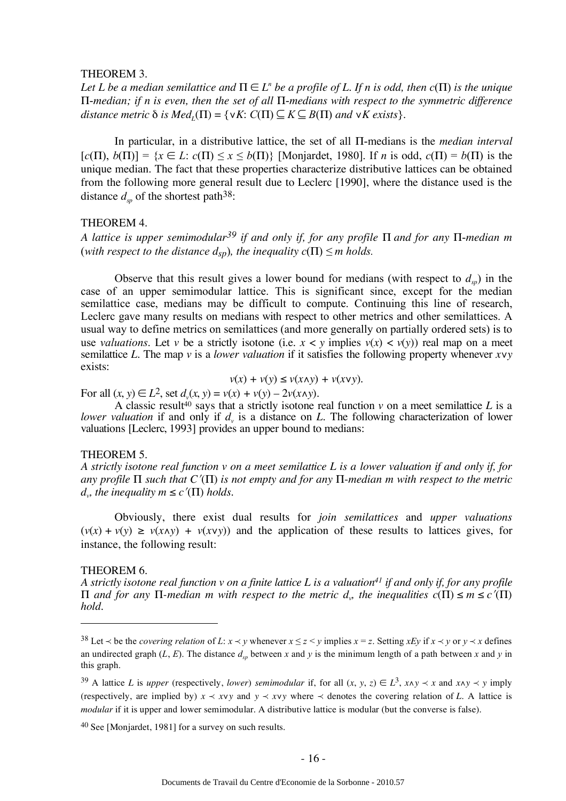#### THEOREM 3.

*Let L be a median semilattice and*  $\Pi \in L^n$  *be a profile of L. If n is odd, then c*( $\Pi$ ) *is the unique* Π-*median; if n is even, then the set of all* Π-*medians with respect to the symmetric difference*   $distance$  metric  $\delta$  *is Med<sub>i</sub>*( $\Pi$ ) = { $\forall K$ :  $C(\Pi) \subseteq K \subseteq B(\Pi)$  *and*  $\forall K$  *exists*}.

In particular, in a distributive lattice, the set of all Π-medians is the *median interval*   $[c(\Pi), b(\Pi)] = \{x \in L: c(\Pi) \le x \le b(\Pi)\}\$  [Monjardet, 1980]. If *n* is odd,  $c(\Pi) = b(\Pi)$  is the unique median. The fact that these properties characterize distributive lattices can be obtained from the following more general result due to Leclerc [1990], where the distance used is the distance  $d_{\infty}$  of the shortest path<sup>38</sup>:

#### THEOREM 4.

*A lattice is upper semimodular39 if and only if, for any profile* Π *and for any* Π-*median m*  (*with respect to the distance*  $d_{sp}$ *), the inequality*  $c(\Pi) \leq m$  *holds.* 

Observe that this result gives a lower bound for medians (with respect to  $d_{\rm sp}$ ) in the case of an upper semimodular lattice. This is significant since, except for the median semilattice case, medians may be difficult to compute. Continuing this line of research, Leclerc gave many results on medians with respect to other metrics and other semilattices. A usual way to define metrics on semilattices (and more generally on partially ordered sets) is to use *valuations*. Let *v* be a strictly isotone (i.e.  $x < y$  implies  $v(x) < v(y)$ ) real map on a meet semilattice *L*. The map *v* is a *lower valuation* if it satisfies the following property whenever *x*∨*y*  exists:

$$
v(x) + v(y) \le v(x \land y) + v(x \lor y).
$$

For all  $(x, y) \in L^2$ , set  $d_v(x, y) = v(x) + v(y) - 2v(x \wedge y)$ .

A classic result<sup>40</sup> says that a strictly isotone real function  $\nu$  on a meet semilattice  $L$  is a *lower valuation* if and only if  $d_v$  is a distance on  $L$ . The following characterization of lower valuations [Leclerc, 1993] provides an upper bound to medians:

#### THEOREM 5.

*A strictly isotone real function v on a meet semilattice L is a lower valuation if and only if, for any profile* Π *such that C*′(Π) *is not empty and for any* Π-*median m with respect to the metric d<sub>v</sub>*, *the inequality m*  $\leq$  *c*'( $\Pi$ ) *holds.* 

Obviously, there exist dual results for *join semilattices* and *upper valuations*   $(v(x) + v(y) \ge v(x \land y) + v(x \lor y)$  and the application of these results to lattices gives, for instance, the following result:

#### THEOREM 6.

 $\overline{a}$ 

*A strictly isotone real function v on a finite lattice L is a valuation41 if and only if, for any profile*   $\Pi$  *and for any*  $\Pi$ -median *m* with respect to the metric *d<sub>v</sub>*, the inequalities  $c(Π) ≤ m ≤ c'(Π)$ *hold.*

<sup>&</sup>lt;sup>38</sup> Let  $\prec$  be the *covering relation* of *L*:  $x \prec y$  whenever  $x \le z \le y$  implies  $x = z$ . Setting  $xEy$  if  $x \prec y$  or  $y \prec x$  defines an undirected graph  $(L, E)$ . The distance  $d_{sp}$  between *x* and *y* is the minimum length of a path between *x* and *y* in this graph.

<sup>39</sup> A lattice *L* is *upper* (respectively, *lower*) *semimodular* if, for all  $(x, y, z) \in L^3$ ,  $x \wedge y \wedge x$  and  $x \wedge y \wedge y$  imply (respectively, are implied by)  $x \prec xy$  and  $y \prec xy$  where  $\prec$  denotes the covering relation of *L*. A lattice is *modular* if it is upper and lower semimodular. A distributive lattice is modular (but the converse is false).

<sup>40</sup> See [Monjardet, 1981] for a survey on such results.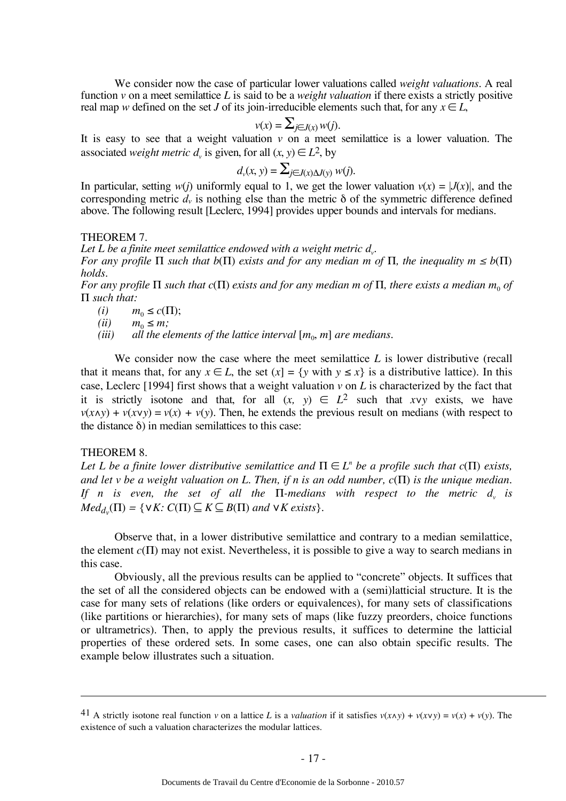We consider now the case of particular lower valuations called *weight valuations*. A real function *v* on a meet semilattice *L* is said to be a *weight valuation* if there exists a strictly positive real map *w* defined on the set *J* of its join-irreducible elements such that, for any  $x \in L$ ,

$$
v(x) = \sum_{j \in J(x)} w(j).
$$

It is easy to see that a weight valuation *v* on a meet semilattice is a lower valuation. The associated *weight metric*  $d_v$  is given, for all  $(x, y) \in L^2$ , by

$$
d_{v}(x, y) = \sum_{j \in J(x) \Delta J(y)} w(j).
$$

In particular, setting  $w(j)$  uniformly equal to 1, we get the lower valuation  $v(x) = |J(x)|$ , and the corresponding metric  $d<sub>v</sub>$  is nothing else than the metric  $\delta$  of the symmetric difference defined above. The following result [Leclerc, 1994] provides upper bounds and intervals for medians.

THEOREM 7.

Let L be a finite meet semilattice endowed with a weight metric d<sub>v</sub>. *For any profile*  $\Pi$  *such that b*( $\Pi$ ) *exists and for any median m of*  $\Pi$ *, the inequality m*  $\leq$  *b*( $\Pi$ ) *holds.*

*For any profile*  $\Pi$  *such that c*( $\Pi$ ) *exists and for any median m of*  $\Pi$ *, there exists a median m<sub>0</sub> of* Π *such that:*

(*i*)  $m_0 \leq c(\Pi);$ <br>(*ii*)  $m_0 \leq m;$ 

(*ii*)  $m_0 \le m$ ;<br>(*iii*) *all the el* 

*(all the elements of the lattice interval*  $[m_0, m]$  *are medians.* 

We consider now the case where the meet semilattice *L* is lower distributive (recall that it means that, for any  $x \in L$ , the set  $(x) = \{y \text{ with } y \leq x\}$  is a distributive lattice). In this case, Leclerc [1994] first shows that a weight valuation *v* on *L* is characterized by the fact that it is strictly isotone and that, for all  $(x, y) \in L^2$  such that *xvy* exists, we have  $v(x \wedge y) + v(x \vee y) = v(x) + v(y)$ . Then, he extends the previous result on medians (with respect to the distance  $\delta$ ) in median semilattices to this case:

#### THEOREM 8.

 $\overline{a}$ 

*Let L be a finite lower distributive semilattice and*  $\Pi \in L^n$  *be a profile such that c*( $\Pi$ ) *exists, and let v be a weight valuation on L. Then, if n is an odd number, c*(Π) *is the unique median. If n is even, the set of all the*  $\Pi$ -medians with respect to the metric  $d_v$  is  $Med_{d_v}(\Pi) = \{ \forall K : C(\Pi) \subseteq K \subseteq B(\Pi) \text{ and } \forall K \text{ exists} \}.$ 

Observe that, in a lower distributive semilattice and contrary to a median semilattice, the element *c*(Π) may not exist. Nevertheless, it is possible to give a way to search medians in this case.

Obviously, all the previous results can be applied to "concrete" objects. It suffices that the set of all the considered objects can be endowed with a (semi)latticial structure. It is the case for many sets of relations (like orders or equivalences), for many sets of classifications (like partitions or hierarchies), for many sets of maps (like fuzzy preorders, choice functions or ultrametrics). Then, to apply the previous results, it suffices to determine the latticial properties of these ordered sets. In some cases, one can also obtain specific results. The example below illustrates such a situation.

<sup>41</sup> A strictly isotone real function *v* on a lattice *L* is a *valuation* if it satisfies  $v(x \wedge y) + v(x \vee y) = v(x) + v(y)$ . The existence of such a valuation characterizes the modular lattices.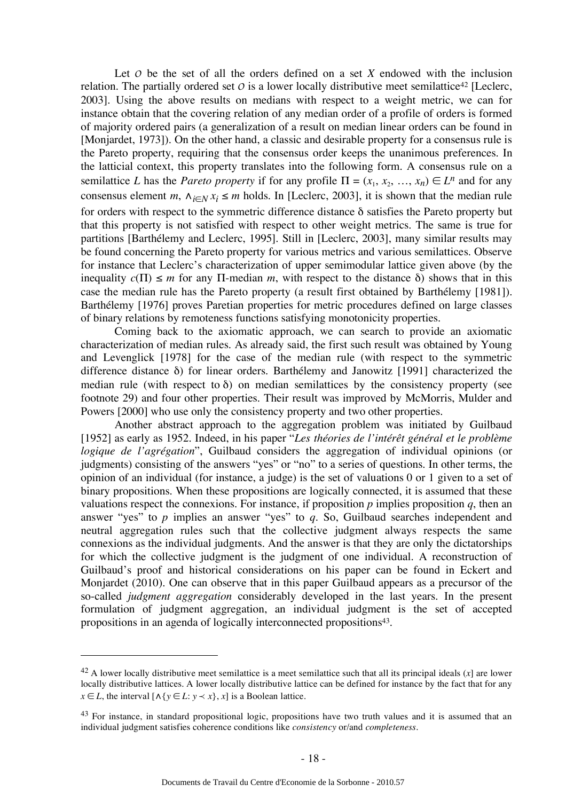Let  $O$  be the set of all the orders defined on a set  $X$  endowed with the inclusion relation. The partially ordered set  $\sigma$  is a lower locally distributive meet semilattice<sup>42</sup> [Leclerc, 2003]. Using the above results on medians with respect to a weight metric, we can for instance obtain that the covering relation of any median order of a profile of orders is formed of majority ordered pairs (a generalization of a result on median linear orders can be found in [Monjardet, 1973]). On the other hand, a classic and desirable property for a consensus rule is the Pareto property, requiring that the consensus order keeps the unanimous preferences. In the latticial context, this property translates into the following form. A consensus rule on a semilattice *L* has the *Pareto property* if for any profile  $\Pi = (x_1, x_2, ..., x_n) \in L^n$  and for any consensus element *m*,  $\Lambda_{i \in N} x_i \le m$  holds. In [Leclerc, 2003], it is shown that the median rule for orders with respect to the symmetric difference distance δ satisfies the Pareto property but that this property is not satisfied with respect to other weight metrics. The same is true for partitions [Barthélemy and Leclerc, 1995]. Still in [Leclerc, 2003], many similar results may be found concerning the Pareto property for various metrics and various semilattices. Observe for instance that Leclerc's characterization of upper semimodular lattice given above (by the inequality  $c(\Pi) \le m$  for any  $\Pi$ -median m, with respect to the distance  $\delta$ ) shows that in this case the median rule has the Pareto property (a result first obtained by Barthélemy [1981]). Barthélemy [1976] proves Paretian properties for metric procedures defined on large classes of binary relations by remoteness functions satisfying monotonicity properties.

Coming back to the axiomatic approach, we can search to provide an axiomatic characterization of median rules. As already said, the first such result was obtained by Young and Levenglick [1978] for the case of the median rule (with respect to the symmetric difference distance δ) for linear orders. Barthélemy and Janowitz [1991] characterized the median rule (with respect to  $\delta$ ) on median semilattices by the consistency property (see footnote 29) and four other properties. Their result was improved by McMorris, Mulder and Powers [2000] who use only the consistency property and two other properties.

Another abstract approach to the aggregation problem was initiated by Guilbaud [1952] as early as 1952. Indeed, in his paper "*Les théories de l'intérêt général et le problème logique de l'agrégation*", Guilbaud considers the aggregation of individual opinions (or judgments) consisting of the answers "yes" or "no" to a series of questions. In other terms, the opinion of an individual (for instance, a judge) is the set of valuations 0 or 1 given to a set of binary propositions. When these propositions are logically connected, it is assumed that these valuations respect the connexions. For instance, if proposition  $p$  implies proposition  $q$ , then an answer "yes" to *p* implies an answer "yes" to *q*. So, Guilbaud searches independent and neutral aggregation rules such that the collective judgment always respects the same connexions as the individual judgments. And the answer is that they are only the dictatorships for which the collective judgment is the judgment of one individual. A reconstruction of Guilbaud's proof and historical considerations on his paper can be found in Eckert and Monjardet (2010). One can observe that in this paper Guilbaud appears as a precursor of the so-called *judgment aggregation* considerably developed in the last years. In the present formulation of judgment aggregation, an individual judgment is the set of accepted propositions in an agenda of logically interconnected propositions<sup>43</sup>.

<sup>42</sup> A lower locally distributive meet semilattice is a meet semilattice such that all its principal ideals (*x*] are lower locally distributive lattices. A lower locally distributive lattice can be defined for instance by the fact that for any *x* ∈ *L*, the interval  $[∧{y ∈ L: y < x}, x]$  is a Boolean lattice.

<sup>&</sup>lt;sup>43</sup> For instance, in standard propositional logic, propositions have two truth values and it is assumed that an individual judgment satisfies coherence conditions like *consistency* or/and *completeness*.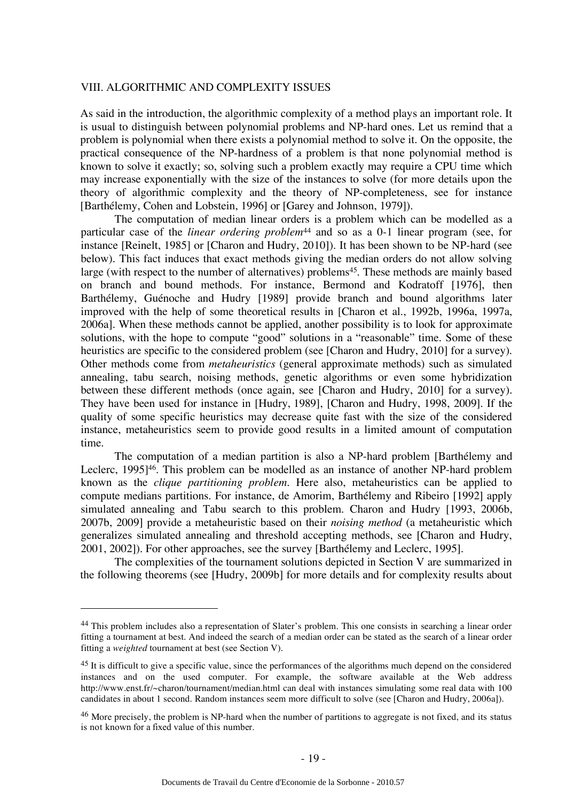#### VIII. ALGORITHMIC AND COMPLEXITY ISSUES

As said in the introduction, the algorithmic complexity of a method plays an important role. It is usual to distinguish between polynomial problems and NP-hard ones. Let us remind that a problem is polynomial when there exists a polynomial method to solve it. On the opposite, the practical consequence of the NP-hardness of a problem is that none polynomial method is known to solve it exactly; so, solving such a problem exactly may require a CPU time which may increase exponentially with the size of the instances to solve (for more details upon the theory of algorithmic complexity and the theory of NP-completeness, see for instance [Barthélemy, Cohen and Lobstein, 1996] or [Garey and Johnson, 1979]).

The computation of median linear orders is a problem which can be modelled as a particular case of the *linear ordering problem*44 and so as a 0-1 linear program (see, for instance [Reinelt, 1985] or [Charon and Hudry, 2010]). It has been shown to be NP-hard (see below). This fact induces that exact methods giving the median orders do not allow solving large (with respect to the number of alternatives) problems<sup>45</sup>. These methods are mainly based on branch and bound methods. For instance, Bermond and Kodratoff [1976], then Barthélemy, Guénoche and Hudry [1989] provide branch and bound algorithms later improved with the help of some theoretical results in [Charon et al., 1992b, 1996a, 1997a, 2006a]. When these methods cannot be applied, another possibility is to look for approximate solutions, with the hope to compute "good" solutions in a "reasonable" time. Some of these heuristics are specific to the considered problem (see [Charon and Hudry, 2010] for a survey). Other methods come from *metaheuristics* (general approximate methods) such as simulated annealing, tabu search, noising methods, genetic algorithms or even some hybridization between these different methods (once again, see [Charon and Hudry, 2010] for a survey). They have been used for instance in [Hudry, 1989], [Charon and Hudry, 1998, 2009]. If the quality of some specific heuristics may decrease quite fast with the size of the considered instance, metaheuristics seem to provide good results in a limited amount of computation time.

The computation of a median partition is also a NP-hard problem [Barthélemy and Leclerc, 1995<sup>146</sup>. This problem can be modelled as an instance of another NP-hard problem known as the *clique partitioning problem.* Here also, metaheuristics can be applied to compute medians partitions. For instance, de Amorim, Barthélemy and Ribeiro [1992] apply simulated annealing and Tabu search to this problem. Charon and Hudry [1993, 2006b, 2007b, 2009] provide a metaheuristic based on their *noising method* (a metaheuristic which generalizes simulated annealing and threshold accepting methods, see [Charon and Hudry, 2001, 2002]). For other approaches, see the survey [Barthélemy and Leclerc, 1995].

The complexities of the tournament solutions depicted in Section V are summarized in the following theorems (see [Hudry, 2009b] for more details and for complexity results about

<sup>&</sup>lt;sup>44</sup> This problem includes also a representation of Slater's problem. This one consists in searching a linear order fitting a tournament at best. And indeed the search of a median order can be stated as the search of a linear order fitting a *weighted* tournament at best (see Section V).

 $45$  It is difficult to give a specific value, since the performances of the algorithms much depend on the considered instances and on the used computer. For example, the software available at the Web address http://www.enst.fr/~charon/tournament/median.html can deal with instances simulating some real data with 100 candidates in about 1 second. Random instances seem more difficult to solve (see [Charon and Hudry, 2006a]).

<sup>&</sup>lt;sup>46</sup> More precisely, the problem is NP-hard when the number of partitions to aggregate is not fixed, and its status is not known for a fixed value of this number.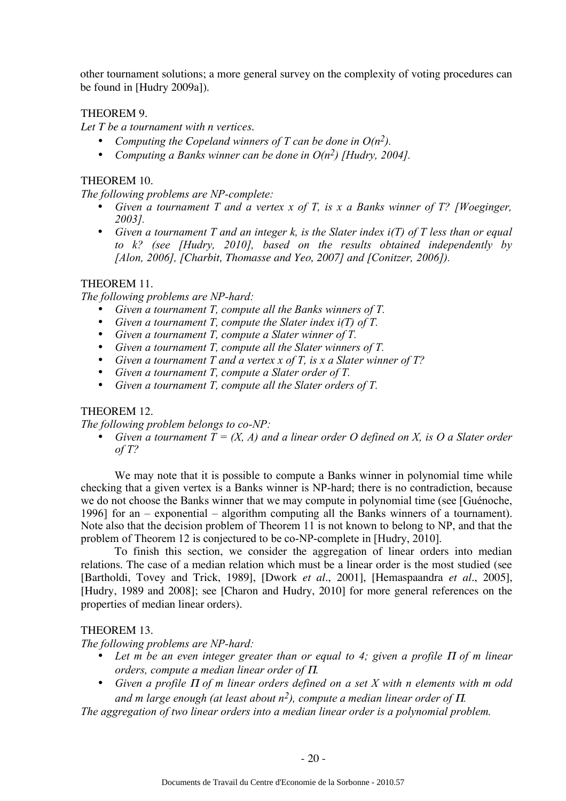other tournament solutions; a more general survey on the complexity of voting procedures can be found in [Hudry 2009a]).

# THEOREM 9.

*Let T be a tournament with n vertices.*

- *Computing the Copeland winners of T can be done in O(n2).*
- *Computing a Banks winner can be done in O(n2) [Hudry, 2004].*

# THEOREM 10.

*The following problems are NP-complete:*

- *Given a tournament T and a vertex x of T, is x a Banks winner of T? [Woeginger, 2003].*
- *Given a tournament T and an integer k, is the Slater index i(T) of T less than or equal to k? (see [Hudry, 2010], based on the results obtained independently by [Alon, 2006], [Charbit, Thomasse and Yeo, 2007] and [Conitzer, 2006]).*

# THEOREM 11.

*The following problems are NP-hard:*

- *Given a tournament T, compute all the Banks winners of T.*
- *Given a tournament T, compute the Slater index i(T) of T.*
- *Given a tournament T, compute a Slater winner of T.*
- *Given a tournament T, compute all the Slater winners of T.*
- *Given a tournament T and a vertex x of T, is x a Slater winner of T?*
- *Given a tournament T, compute a Slater order of T.*
- *Given a tournament T, compute all the Slater orders of T.*

# THEOREM 12.

*The following problem belongs to co-NP:*

• *Given a tournament T = (X, A) and a linear order O defined on X, is O a Slater order of T?*

We may note that it is possible to compute a Banks winner in polynomial time while checking that a given vertex is a Banks winner is NP-hard; there is no contradiction, because we do not choose the Banks winner that we may compute in polynomial time (see [Guénoche, 1996] for an – exponential – algorithm computing all the Banks winners of a tournament). Note also that the decision problem of Theorem 11 is not known to belong to NP, and that the problem of Theorem 12 is conjectured to be co-NP-complete in [Hudry, 2010].

To finish this section, we consider the aggregation of linear orders into median relations. The case of a median relation which must be a linear order is the most studied (see [Bartholdi, Tovey and Trick, 1989], [Dwork *et al*., 2001], [Hemaspaandra *et al*., 2005], [Hudry, 1989 and 2008]; see [Charon and Hudry, 2010] for more general references on the properties of median linear orders).

# THEOREM 13.

*The following problems are NP-hard:*

- Let *m* be an even integer greater than or equal to 4; given a profile Π of *m* linear *orders, compute a median linear order of* Π*.*
- *Given a profile* Π *of m linear orders defined on a set X with n elements with m odd and m large enough (at least about*  $n^2$ *), compute a median linear order of*  $\Pi$ *.*

*The aggregation of two linear orders into a median linear order is a polynomial problem.*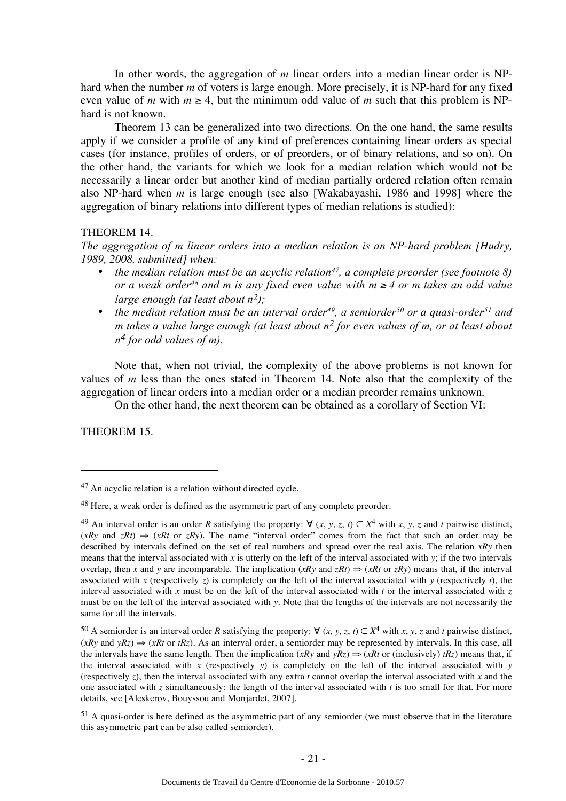In other words, the aggregation of *m* linear orders into a median linear order is NPhard when the number *m* of voters is large enough. More precisely, it is NP-hard for any fixed even value of *m* with  $m \geq 4$ , but the minimum odd value of *m* such that this problem is NPhard is not known.

Theorem 13 can be generalized into two directions. On the one hand, the same results apply if we consider a profile of any kind of preferences containing linear orders as special cases (for instance, profiles of orders, or of preorders, or of binary relations, and so on). On the other hand, the variants for which we look for a median relation which would not be necessarily a linear order but another kind of median partially ordered relation often remain also NP-hard when *m* is large enough (see also [Wakabayashi, 1986 and 1998] where the aggregation of binary relations into different types of median relations is studied):

#### THEOREM 14.

*The aggregation of m linear orders into a median relation is an NP-hard problem [Hudry, 1989, 2008, submitted] when:* 

- *the median relation must be an acyclic relation47, a complete preorder (see footnote 8) or a weak order48 and m is any fixed even value with m* <sup>≥</sup> *4 or m takes an odd value large enough (at least about n2);*
- *the median relation must be an interval order<sup>49</sup>, a semiorder<sup>50</sup> or a quasi-order<sup>51</sup> and m takes a value large enough (at least about n2 for even values of m, or at least about n4 for odd values of m).*

Note that, when not trivial, the complexity of the above problems is not known for values of *m* less than the ones stated in Theorem 14. Note also that the complexity of the aggregation of linear orders into a median order or a median preorder remains unknown.

On the other hand, the next theorem can be obtained as a corollary of Section VI:

THEOREM 15.

<sup>47</sup> An acyclic relation is a relation without directed cycle.

<sup>48</sup> Here, a weak order is defined as the asymmetric part of any complete preorder.

<sup>49</sup> An interval order is an order *R* satisfying the property:  $\forall (x, y, z, t) \in X^4$  with *x*, *y*, *z* and *t* pairwise distinct,  $(xRy \text{ and } zRt) \Rightarrow (xRt \text{ or } zRy)$ . The name "interval order" comes from the fact that such an order may be described by intervals defined on the set of real numbers and spread over the real axis. The relation *xRy* then means that the interval associated with *x* is utterly on the left of the interval associated with *y*; if the two intervals overlap, then *x* and *y* are incomparable. The implication  $(xRy \text{ and } zRt) \Rightarrow (xRt \text{ or } zRy)$  means that, if the interval associated with *x* (respectively *z*) is completely on the left of the interval associated with *y* (respectively *t*), the interval associated with *x* must be on the left of the interval associated with *t* or the interval associated with *z* must be on the left of the interval associated with *y*. Note that the lengths of the intervals are not necessarily the same for all the intervals.

<sup>50</sup> A semiorder is an interval order *R* satisfying the property: ∀  $(x, y, z, t) \in X^4$  with  $x, y, z$  and  $t$  pairwise distinct,  $(xRy \text{ and } yRz) \Rightarrow (xRt \text{ or } tRz)$ . As an interval order, a semiorder may be represented by intervals. In this case, all the intervals have the same length. Then the implication  $(xRy$  and  $yRz) \Rightarrow (xRt$  or (inclusively)  $tRz$ ) means that, if the interval associated with *x* (respectively *y*) is completely on the left of the interval associated with *y* (respectively *z*), then the interval associated with any extra *t* cannot overlap the interval associated with *x* and the one associated with *z* simultaneously: the length of the interval associated with *t* is too small for that. For more details, see [Aleskerov, Bouyssou and Monjardet, 2007].

 $51$  A quasi-order is here defined as the asymmetric part of any semiorder (we must observe that in the literature this asymmetric part can be also called semiorder).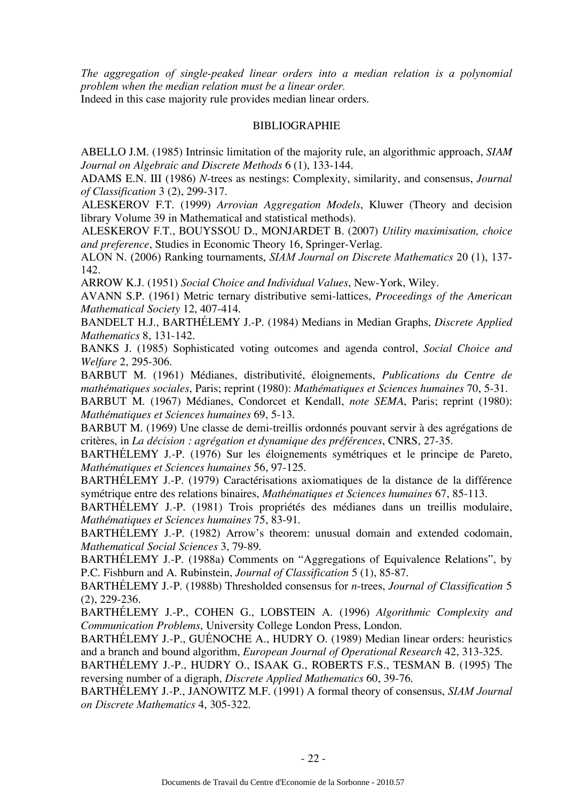*The aggregation of single-peaked linear orders into a median relation is a polynomial problem when the median relation must be a linear order.* Indeed in this case majority rule provides median linear orders.

### BIBLIOGRAPHIE

ABELLO J.M. (1985) Intrinsic limitation of the majority rule, an algorithmic approach, *SIAM Journal on Algebraic and Discrete Methods* 6 (1), 133-144.

ADAMS E.N. III (1986) *N*-trees as nestings: Complexity, similarity, and consensus, *Journal of Classification* 3 (2), 299-317.

ALESKEROV F.T. (1999) *Arrovian Aggregation Models*, Kluwer (Theory and decision library Volume 39 in Mathematical and statistical methods).

ALESKEROV F.T., BOUYSSOU D., MONJARDET B. (2007) *Utility maximisation, choice and preference*, Studies in Economic Theory 16, Springer-Verlag.

ALON N. (2006) Ranking tournaments, *SIAM Journal on Discrete Mathematics* 20 (1), 137- 142.

ARROW K.J. (1951) *Social Choice and Individual Values*, New-York, Wiley.

AVANN S.P. (1961) Metric ternary distributive semi-lattices, *Proceedings of the American Mathematical Society* 12, 407-414.

BANDELT H.J., BARTHÉLEMY J.-P. (1984) Medians in Median Graphs, *Discrete Applied Mathematics* 8, 131-142.

BANKS J. (1985) Sophisticated voting outcomes and agenda control, *Social Choice and Welfare* 2, 295-306.

BARBUT M. (1961) Médianes, distributivité, éloignements, *Publications du Centre de mathématiques sociales*, Paris; reprint (1980): *Mathématiques et Sciences humaines* 70, 5-31.

BARBUT M. (1967) Médianes, Condorcet et Kendall, *note SEMA*, Paris; reprint (1980): *Mathématiques et Sciences humaines* 69, 5-13.

BARBUT M. (1969) Une classe de demi-treillis ordonnés pouvant servir à des agrégations de critères, in *La décision : agrégation et dynamique des préférences*, CNRS, 27-35.

BARTHÉLEMY J.-P. (1976) Sur les éloignements symétriques et le principe de Pareto, *Mathématiques et Sciences humaines* 56, 97-125.

BARTHÉLEMY J.-P. (1979) Caractérisations axiomatiques de la distance de la différence symétrique entre des relations binaires, *Mathématiques et Sciences humaines* 67, 85-113.

BARTHÉLEMY J.-P. (1981) Trois propriétés des médianes dans un treillis modulaire, *Mathématiques et Sciences humaines* 75, 83-91.

BARTHÉLEMY J.-P. (1982) Arrow's theorem: unusual domain and extended codomain, *Mathematical Social Sciences* 3, 79-89.

BARTHÉLEMY J.-P. (1988a) Comments on "Aggregations of Equivalence Relations", by P.C. Fishburn and A. Rubinstein, *Journal of Classification* 5 (1), 85-87.

BARTHÉLEMY J.-P. (1988b) Thresholded consensus for *n*-trees, *Journal of Classification* 5 (2), 229-236*.*

BARTHÉLEMY J.-P., COHEN G., LOBSTEIN A. (1996) *Algorithmic Complexity and Communication Problems*, University College London Press, London.

BARTHÉLEMY J.-P., GUÉNOCHE A., HUDRY O. (1989) Median linear orders: heuristics and a branch and bound algorithm, *European Journal of Operational Research* 42, 313-325.

BARTHÉLEMY J.-P., HUDRY O., ISAAK G., ROBERTS F.S., TESMAN B. (1995) The reversing number of a digraph, *Discrete Applied Mathematics* 60, 39-76.

BARTHÉLEMY J.-P., JANOWITZ M.F. (1991) A formal theory of consensus, *SIAM Journal on Discrete Mathematics* 4, 305-322.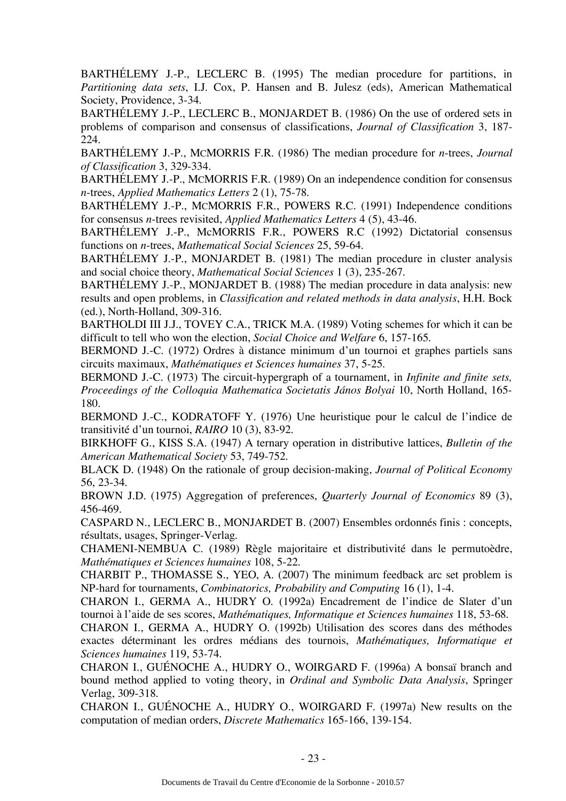BARTHÉLEMY J.-P., LECLERC B. (1995) The median procedure for partitions, in *Partitioning data sets*, I.J. Cox, P. Hansen and B. Julesz (eds), American Mathematical Society, Providence, 3-34.

BARTHÉLEMY J.-P., LECLERC B., MONJARDET B. (1986) On the use of ordered sets in problems of comparison and consensus of classifications, *Journal of Classification* 3, 187- 224.

BARTHÉLEMY J.-P., MCMORRIS F.R. (1986) The median procedure for *n*-trees, *Journal of Classification* 3, 329-334.

BARTHÉLEMY J.-P., MCMORRIS F.R. (1989) On an independence condition for consensus *n*-trees, *Applied Mathematics Letters* 2 (1), 75-78.

BARTHÉLEMY J.-P., MCMORRIS F.R., POWERS R.C. (1991) Independence conditions for consensus *n*-trees revisited, *Applied Mathematics Letters* 4 (5), 43-46.

BARTHÉLEMY J.-P., McMORRIS F.R., POWERS R.C (1992) Dictatorial consensus functions on *n*-trees, *Mathematical Social Sciences* 25, 59-64.

BARTHÉLEMY J.-P., MONJARDET B. (1981) The median procedure in cluster analysis and social choice theory, *Mathematical Social Sciences* 1 (3), 235-267.

BARTHÉLEMY J.-P., MONJARDET B. (1988) The median procedure in data analysis: new results and open problems, in *Classification and related methods in data analysis*, H.H. Bock (ed.), North-Holland, 309-316.

BARTHOLDI III J.J., TOVEY C.A., TRICK M.A. (1989) Voting schemes for which it can be difficult to tell who won the election, *Social Choice and Welfare* 6, 157-165.

BERMOND J.-C. (1972) Ordres à distance minimum d'un tournoi et graphes partiels sans circuits maximaux, *Mathématiques et Sciences humaines* 37, 5-25.

BERMOND J.-C. (1973) The circuit-hypergraph of a tournament, in *Infinite and finite sets, Proceedings of the Colloquia Mathematica Societatis János Bolyai* 10, North Holland, 165- 180.

BERMOND J.-C., KODRATOFF Y. (1976) Une heuristique pour le calcul de l'indice de transitivité d'un tournoi, *RAIRO* 10 (3), 83-92.

BIRKHOFF G., KISS S.A. (1947) A ternary operation in distributive lattices, *Bulletin of the American Mathematical Society* 53, 749-752.

BLACK D. (1948) On the rationale of group decision-making, *Journal of Political Economy*  56, 23-34.

BROWN J.D. (1975) Aggregation of preferences, *Quarterly Journal of Economics* 89 (3), 456-469.

CASPARD N., LECLERC B., MONJARDET B. (2007) Ensembles ordonnés finis : concepts, résultats, usages, Springer-Verlag.

CHAMENI-NEMBUA C. (1989) Règle majoritaire et distributivité dans le permutoèdre, *Mathématiques et Sciences humaines* 108, 5-22.

CHARBIT P., THOMASSE S., YEO, A. (2007) The minimum feedback arc set problem is NP-hard for tournaments, *Combinatorics, Probability and Computing* 16 (1), 1-4.

CHARON I., GERMA A., HUDRY O. (1992a) Encadrement de l'indice de Slater d'un tournoi à l'aide de ses scores, *Mathématiques, Informatique et Sciences humaines* 118, 53-68.

CHARON I., GERMA A., HUDRY O. (1992b) Utilisation des scores dans des méthodes exactes déterminant les ordres médians des tournois, *Mathématiques, Informatique et Sciences humaines* 119, 53-74.

CHARON I., GUÉNOCHE A., HUDRY O., WOIRGARD F. (1996a) A bonsaï branch and bound method applied to voting theory, in *Ordinal and Symbolic Data Analysis*, Springer Verlag, 309-318.

CHARON I., GUÉNOCHE A., HUDRY O., WOIRGARD F. (1997a) New results on the computation of median orders, *Discrete Mathematics* 165-166, 139-154.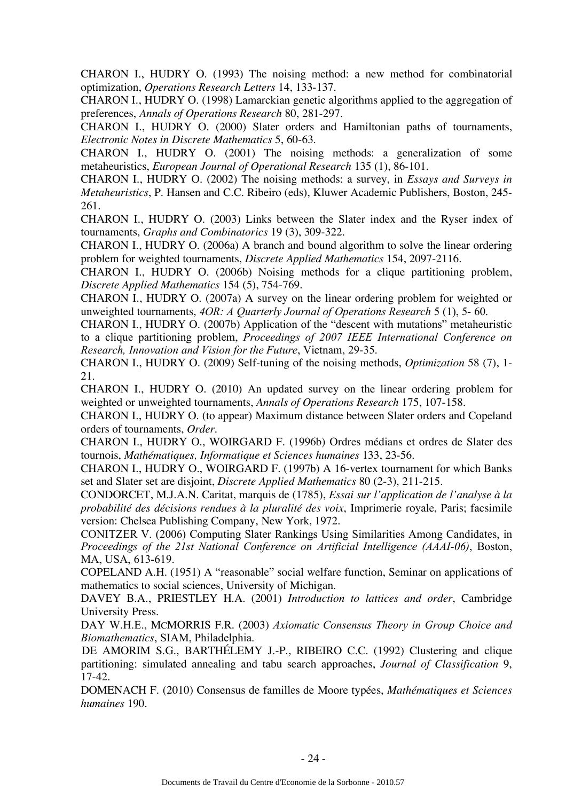CHARON I., HUDRY O. (1993) The noising method: a new method for combinatorial optimization, *Operations Research Letters* 14, 133-137.

CHARON I., HUDRY O. (1998) Lamarckian genetic algorithms applied to the aggregation of preferences, *Annals of Operations Research* 80, 281-297.

CHARON I., HUDRY O. (2000) Slater orders and Hamiltonian paths of tournaments, *Electronic Notes in Discrete Mathematics* 5, 60-63.

CHARON I., HUDRY O. (2001) The noising methods: a generalization of some metaheuristics, *European Journal of Operational Research* 135 (1), 86-101.

CHARON I., HUDRY O. (2002) The noising methods: a survey, in *Essays and Surveys in Metaheuristics*, P. Hansen and C.C. Ribeiro (eds), Kluwer Academic Publishers, Boston, 245- 261.

CHARON I., HUDRY O. (2003) Links between the Slater index and the Ryser index of tournaments, *Graphs and Combinatorics* 19 (3), 309-322.

CHARON I., HUDRY O. (2006a) A branch and bound algorithm to solve the linear ordering problem for weighted tournaments, *Discrete Applied Mathematics* 154, 2097-2116.

CHARON I., HUDRY O. (2006b) Noising methods for a clique partitioning problem, *Discrete Applied Mathematics* 154 (5), 754-769.

CHARON I., HUDRY O. (2007a) A survey on the linear ordering problem for weighted or unweighted tournaments, *4OR: A Quarterly Journal of Operations Research* 5 (1), 5- 60.

CHARON I., HUDRY O. (2007b) Application of the "descent with mutations" metaheuristic to a clique partitioning problem, *Proceedings of 2007 IEEE International Conference on Research, Innovation and Vision for the Future*, Vietnam, 29-35.

CHARON I., HUDRY O. (2009) Self-tuning of the noising methods, *Optimization* 58 (7), 1- 21.

CHARON I., HUDRY O. (2010) An updated survey on the linear ordering problem for weighted or unweighted tournaments, *Annals of Operations Research* 175, 107-158.

CHARON I., HUDRY O. (to appear) Maximum distance between Slater orders and Copeland orders of tournaments, *Order*.

CHARON I., HUDRY O., WOIRGARD F. (1996b) Ordres médians et ordres de Slater des tournois, *Mathématiques, Informatique et Sciences humaines* 133, 23-56.

CHARON I., HUDRY O., WOIRGARD F. (1997b) A 16-vertex tournament for which Banks set and Slater set are disjoint, *Discrete Applied Mathematics* 80 (2-3), 211-215.

CONDORCET, M.J.A.N. Caritat, marquis de (1785), *Essai sur l'application de l'analyse à la probabilité des décisions rendues à la pluralité des voix*, Imprimerie royale, Paris; facsimile version: Chelsea Publishing Company, New York, 1972.

CONITZER V. (2006) Computing Slater Rankings Using Similarities Among Candidates, in *Proceedings of the 21st National Conference on Artificial Intelligence (AAAI-06)*, Boston, MA, USA, 613-619.

COPELAND A.H. (1951) A "reasonable" social welfare function, Seminar on applications of mathematics to social sciences, University of Michigan.

DAVEY B.A., PRIESTLEY H.A. (2001) *Introduction to lattices and order*, Cambridge University Press.

DAY W.H.E., MCMORRIS F.R. (2003) *Axiomatic Consensus Theory in Group Choice and Biomathematics*, SIAM, Philadelphia.

DE AMORIM S.G., BARTHÉLEMY J.-P., RIBEIRO C.C. (1992) Clustering and clique partitioning: simulated annealing and tabu search approaches, *Journal of Classification* 9, 17-42.

DOMENACH F. (2010) Consensus de familles de Moore typées, *Mathématiques et Sciences humaines* 190.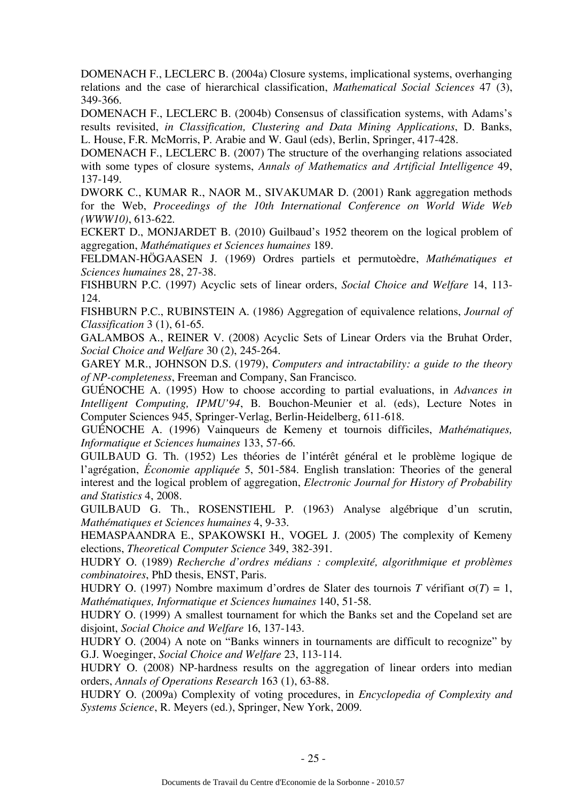DOMENACH F., LECLERC B. (2004a) Closure systems, implicational systems, overhanging relations and the case of hierarchical classification, *Mathematical Social Sciences* 47 (3), 349-366.

DOMENACH F., LECLERC B. (2004b) Consensus of classification systems, with Adams's results revisited, *in Classification, Clustering and Data Mining Applications*, D. Banks, L. House, F.R. McMorris, P. Arabie and W. Gaul (eds), Berlin, Springer, 417-428.

DOMENACH F., LECLERC B. (2007) The structure of the overhanging relations associated with some types of closure systems, *Annals of Mathematics and Artificial Intelligence* 49, 137-149.

DWORK C., KUMAR R., NAOR M., SIVAKUMAR D. (2001) Rank aggregation methods for the Web, *Proceedings of the 10th International Conference on World Wide Web (WWW10)*, 613-622.

ECKERT D., MONJARDET B. (2010) Guilbaud's 1952 theorem on the logical problem of aggregation, *Mathématiques et Sciences humaines* 189.

FELDMAN-HÖGAASEN J. (1969) Ordres partiels et permutoèdre, *Mathématiques et Sciences humaines* 28, 27-38.

FISHBURN P.C. (1997) Acyclic sets of linear orders, *Social Choice and Welfare* 14, 113- 124.

FISHBURN P.C., RUBINSTEIN A. (1986) Aggregation of equivalence relations, *Journal of Classification* 3 (1), 61-65.

GALAMBOS A., REINER V. (2008) Acyclic Sets of Linear Orders via the Bruhat Order, *Social Choice and Welfare* 30 (2), 245-264.

GAREY M.R., JOHNSON D.S. (1979), *Computers and intractability: a guide to the theory of NP-completeness*, Freeman and Company, San Francisco.

GUÉNOCHE A. (1995) How to choose according to partial evaluations, in *Advances in Intelligent Computing, IPMU'94*, B. Bouchon-Meunier et al. (eds), Lecture Notes in Computer Sciences 945, Springer-Verlag, Berlin-Heidelberg, 611-618.

GUÉNOCHE A. (1996) Vainqueurs de Kemeny et tournois difficiles, *Mathématiques, Informatique et Sciences humaines* 133, 57-66.

GUILBAUD G. Th. (1952) Les théories de l'intérêt général et le problème logique de l'agrégation, *Économie appliquée* 5, 501-584. English translation: Theories of the general interest and the logical problem of aggregation, *Electronic Journal for History of Probability and Statistics* 4, 2008.

GUILBAUD G. Th., ROSENSTIEHL P. (1963) Analyse algébrique d'un scrutin, *Mathématiques et Sciences humaines* 4, 9-33.

HEMASPAANDRA E., SPAKOWSKI H., VOGEL J. (2005) The complexity of Kemeny elections, *Theoretical Computer Science* 349, 382-391.

HUDRY O. (1989) *Recherche d'ordres médians : complexité, algorithmique et problèmes combinatoires*, PhD thesis, ENST, Paris.

HUDRY O. (1997) Nombre maximum d'ordres de Slater des tournois *T* vérifiant σ(*T*) = 1, *Mathématiques, Informatique et Sciences humaines* 140, 51-58.

HUDRY O. (1999) A smallest tournament for which the Banks set and the Copeland set are disjoint, *Social Choice and Welfare* 16, 137-143.

HUDRY O. (2004) A note on "Banks winners in tournaments are difficult to recognize" by G.J. Woeginger, *Social Choice and Welfare* 23, 113-114.

HUDRY O. (2008) NP-hardness results on the aggregation of linear orders into median orders, *Annals of Operations Research* 163 (1), 63-88.

HUDRY O. (2009a) Complexity of voting procedures, in *Encyclopedia of Complexity and Systems Science*, R. Meyers (ed.), Springer, New York, 2009.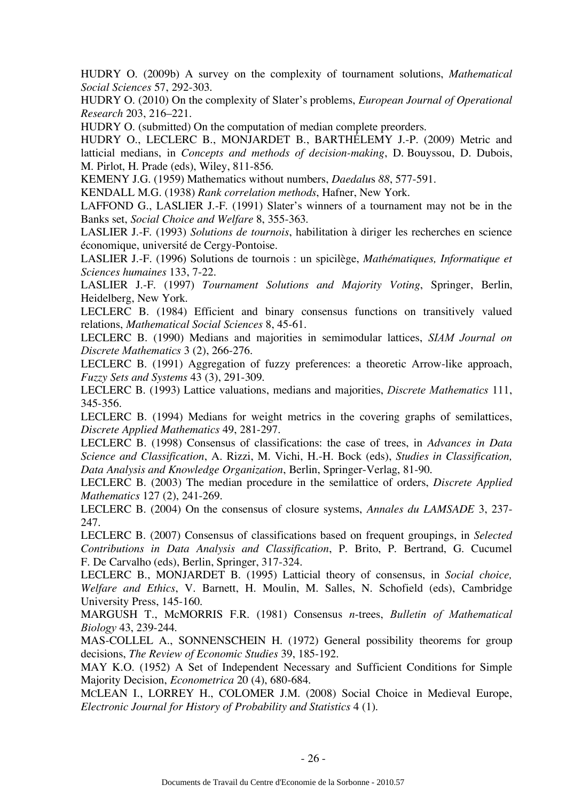HUDRY O. (2009b) A survey on the complexity of tournament solutions, *Mathematical Social Sciences* 57, 292-303.

HUDRY O. (2010) On the complexity of Slater's problems, *European Journal of Operational Research* 203, 216–221.

HUDRY O. (submitted) On the computation of median complete preorders.

HUDRY O., LECLERC B., MONJARDET B., BARTHÉLEMY J.-P. (2009) Metric and latticial medians, in *Concepts and methods of decision-making*, D. Bouyssou, D. Dubois, M. Pirlot, H. Prade (eds), Wiley, 811-856.

KEMENY J.G. (1959) Mathematics without numbers, *Daedalu*s *88*, 577-591.

KENDALL M.G. (1938) *Rank correlation methods*, Hafner, New York.

LAFFOND G., LASLIER J.-F. (1991) Slater's winners of a tournament may not be in the Banks set, *Social Choice and Welfare* 8, 355-363.

LASLIER J.-F. (1993) *Solutions de tournois*, habilitation à diriger les recherches en science économique, université de Cergy-Pontoise.

LASLIER J.-F. (1996) Solutions de tournois : un spicilège, *Mathématiques, Informatique et Sciences humaines* 133, 7-22.

LASLIER J.-F. (1997) *Tournament Solutions and Majority Voting*, Springer, Berlin, Heidelberg, New York.

LECLERC B. (1984) Efficient and binary consensus functions on transitively valued relations, *Mathematical Social Sciences* 8, 45-61.

LECLERC B. (1990) Medians and majorities in semimodular lattices, *SIAM Journal on Discrete Mathematics* 3 (2), 266-276.

LECLERC B. (1991) Aggregation of fuzzy preferences: a theoretic Arrow-like approach, *Fuzzy Sets and Systems* 43 (3), 291-309.

LECLERC B. (1993) Lattice valuations, medians and majorities, *Discrete Mathematics* 111, 345-356.

LECLERC B. (1994) Medians for weight metrics in the covering graphs of semilattices, *Discrete Applied Mathematics* 49, 281-297.

LECLERC B. (1998) Consensus of classifications: the case of trees, in *Advances in Data Science and Classification*, A. Rizzi, M. Vichi, H.-H. Bock (eds), *Studies in Classification, Data Analysis and Knowledge Organization*, Berlin, Springer-Verlag, 81-90.

LECLERC B. (2003) The median procedure in the semilattice of orders, *Discrete Applied Mathematics* 127 (2), 241-269.

LECLERC B. (2004) On the consensus of closure systems, *Annales du LAMSADE* 3, 237- 247.

LECLERC B. (2007) Consensus of classifications based on frequent groupings, in *Selected Contributions in Data Analysis and Classification*, P. Brito, P. Bertrand, G. Cucumel F. De Carvalho (eds), Berlin, Springer, 317-324.

LECLERC B., MONJARDET B. (1995) Latticial theory of consensus, in *Social choice, Welfare and Ethics*, V. Barnett, H. Moulin, M. Salles, N. Schofield (eds), Cambridge University Press, 145-160.

MARGUSH T., McMORRIS F.R. (1981) Consensus *n*-trees, *Bulletin of Mathematical Biology* 43, 239-244.

MAS-COLLEL A., SONNENSCHEIN H. (1972) General possibility theorems for group decisions, *The Review of Economic Studies* 39, 185-192.

MAY K.O. (1952) A Set of Independent Necessary and Sufficient Conditions for Simple Majority Decision, *Econometrica* 20 (4), 680-684.

MCLEAN I., LORREY H., COLOMER J.M. (2008) Social Choice in Medieval Europe, *Electronic Journal for History of Probability and Statistics* 4 (1).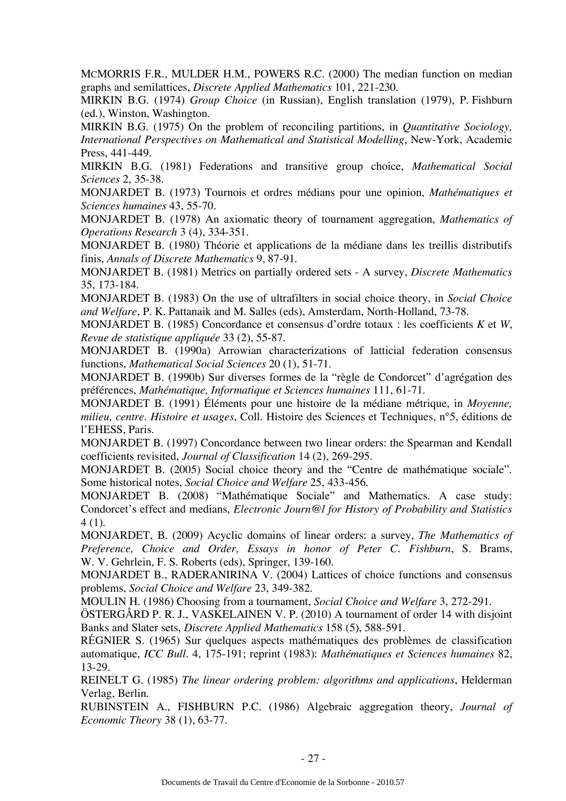MCMORRIS F.R., MULDER H.M., POWERS R.C. (2000) The median function on median graphs and semilattices, *Discrete Applied Mathematics* 101, 221-230.

MIRKIN B.G. (1974) *Group Choice* (in Russian), English translation (1979), P. Fishburn (ed.), Winston, Washington.

MIRKIN B.G. (1975) On the problem of reconciling partitions, in *Quantitative Sociology, International Perspectives on Mathematical and Statistical Modelling*, New-York, Academic Press, 441-449.

MIRKIN B.G. (1981) Federations and transitive group choice, *Mathematical Social Sciences* 2, 35-38.

MONJARDET B. (1973) Tournois et ordres médians pour une opinion, *Mathématiques et Sciences humaines* 43, 55-70.

MONJARDET B. (1978) An axiomatic theory of tournament aggregation, *Mathematics of Operations Research* 3 (4), 334-351.

MONJARDET B. (1980) Théorie et applications de la médiane dans les treillis distributifs finis, *Annals of Discrete Mathematics* 9, 87-91.

MONJARDET B. (1981) Metrics on partially ordered sets - A survey, *Discrete Mathematics* 35, 173-184.

MONJARDET B. (1983) On the use of ultrafilters in social choice theory, in *Social Choice and Welfare*, P. K. Pattanaik and M. Salles (eds), Amsterdam, North-Holland, 73-78.

MONJARDET B. (1985) Concordance et consensus d'ordre totaux : les coefficients *K* et *W*, *Revue de statistique appliquée* 33 (2), 55-87.

MONJARDET B. (1990a) Arrowian characterizations of latticial federation consensus functions, *Mathematical Social Sciences* 20 (1), 51-71.

MONJARDET B. (1990b) Sur diverses formes de la "règle de Condorcet" d'agrégation des préférences, *Mathématique, Informatique et Sciences humaines* 111, 61-71.

MONJARDET B. (1991) Éléments pour une histoire de la médiane métrique, in *Moyenne, milieu, centre. Histoire et usages*, Coll. Histoire des Sciences et Techniques, n°5, éditions de l'EHESS, Paris.

MONJARDET B. (1997) Concordance between two linear orders: the Spearman and Kendall coefficients revisited, *Journal of Classification* 14 (2), 269-295.

MONJARDET B. (2005) Social choice theory and the "Centre de mathématique sociale". Some historical notes, *Social Choice and Welfare* 25, 433-456.

MONJARDET B. (2008) "Mathématique Sociale" and Mathematics. A case study: Condorcet's effect and medians, *Electronic Journ@l for History of Probability and Statistics* 4 (1).

MONJARDET, B. (2009) Acyclic domains of linear orders: a survey, *The Mathematics of Preference, Choice and Order, Essays in honor of Peter C. Fishburn*, S. Brams, W. V. Gehrlein, F. S. Roberts (eds), Springer, 139-160.

MONJARDET B., RADERANIRINA V. (2004) Lattices of choice functions and consensus problems, *Social Choice and Welfare* 23, 349-382.

MOULIN H. (1986) Choosing from a tournament, *Social Choice and Welfare* 3, 272-291.

ÖSTERGÅRD P. R. J., VASKELAINEN V. P. (2010) A tournament of order 14 with disjoint Banks and Slater sets, *Discrete Applied Mathematics* 158 (5), 588-591.

RÉGNIER S. (1965) Sur quelques aspects mathématiques des problèmes de classification automatique, *ICC Bull.* 4, 175-191; reprint (1983): *Mathématiques et Sciences humaines* 82, 13-29.

REINELT G. (1985) *The linear ordering problem: algorithms and applications*, Helderman Verlag, Berlin.

RUBINSTEIN A., FISHBURN P.C. (1986) Algebraic aggregation theory, *Journal of Economic Theory* 38 (1), 63-77.